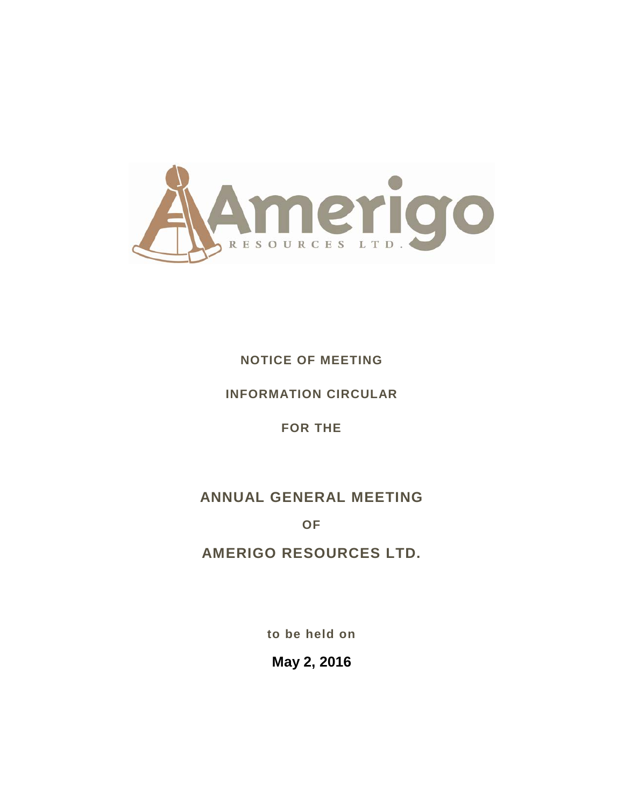

## **NOTICE OF MEETING**

## **INFORMATION CIRCULAR**

## **FOR THE**

# **ANNUAL GENERAL MEETING**

**OF**

# **AMERIGO RESOURCES LTD.**

**to be held on**

**May 2, 2016**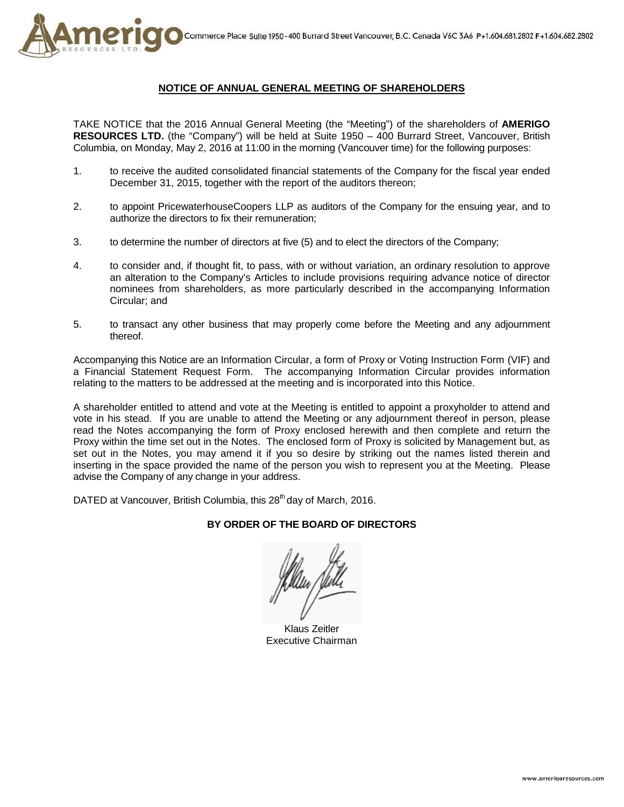

## **NOTICE OF ANNUAL GENERAL MEETING OF SHAREHOLDERS**

TAKE NOTICE that the 2016 Annual General Meeting (the "Meeting") of the shareholders of **AMERIGO RESOURCES LTD.** (the "Company") will be held at Suite 1950 – 400 Burrard Street, Vancouver, British Columbia, on Monday, May 2, 2016 at 11:00 in the morning (Vancouver time) for the following purposes:

- 1. to receive the audited consolidated financial statements of the Company for the fiscal year ended December 31, 2015, together with the report of the auditors thereon;
- 2. to appoint PricewaterhouseCoopers LLP as auditors of the Company for the ensuing year, and to authorize the directors to fix their remuneration;
- 3. to determine the number of directors at five (5) and to elect the directors of the Company;
- 4. to consider and, if thought fit, to pass, with or without variation, an ordinary resolution to approve an alteration to the Company's Articles to include provisions requiring advance notice of director nominees from shareholders, as more particularly described in the accompanying Information Circular; and
- 5. to transact any other business that may properly come before the Meeting and any adjournment thereof.

Accompanying this Notice are an Information Circular, a form of Proxy or Voting Instruction Form (VIF) and a Financial Statement Request Form. The accompanying Information Circular provides information relating to the matters to be addressed at the meeting and is incorporated into this Notice.

A shareholder entitled to attend and vote at the Meeting is entitled to appoint a proxyholder to attend and vote in his stead. If you are unable to attend the Meeting or any adjournment thereof in person, please read the Notes accompanying the form of Proxy enclosed herewith and then complete and return the Proxy within the time set out in the Notes. The enclosed form of Proxy is solicited by Management but, as set out in the Notes, you may amend it if you so desire by striking out the names listed therein and inserting in the space provided the name of the person you wish to represent you at the Meeting. Please advise the Company of any change in your address.

DATED at Vancouver, British Columbia, this 28<sup>th</sup> day of March, 2016.

## **BY ORDER OF THE BOARD OF DIRECTORS**

Klaus Zeitler Executive Chairman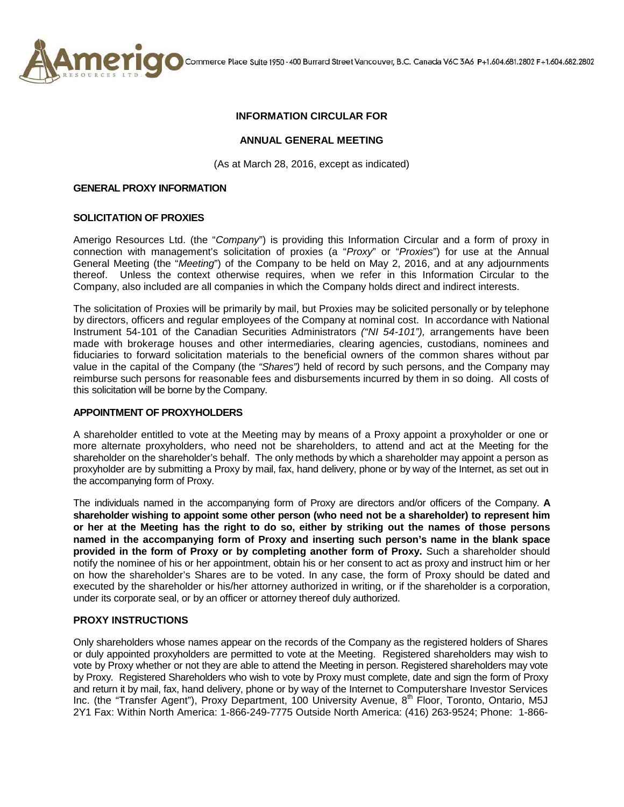

Commerce Place Suite 1950 - 400 Burrard Street Vancouver, B.C. Canada V6C 3A6 P+1.604.681.2802 F+1.604.682.2802

## **INFORMATION CIRCULAR FOR**

## **ANNUAL GENERAL MEETING**

(As at March 28, 2016, except as indicated)

#### **GENERAL PROXY INFORMATION**

#### **SOLICITATION OF PROXIES**

Amerigo Resources Ltd. (the "*Company*") is providing this Information Circular and a form of proxy in connection with management's solicitation of proxies (a "*Proxy*" or "*Proxies*") for use at the Annual General Meeting (the "*Meeting*") of the Company to be held on May 2, 2016, and at any adjournments thereof. Unless the context otherwise requires, when we refer in this Information Circular to the Company, also included are all companies in which the Company holds direct and indirect interests.

The solicitation of Proxies will be primarily by mail, but Proxies may be solicited personally or by telephone by directors, officers and regular employees of the Company at nominal cost. In accordance with National Instrument 54-101 of the Canadian Securities Administrators *("NI 54-101"),* arrangements have been made with brokerage houses and other intermediaries, clearing agencies, custodians, nominees and fiduciaries to forward solicitation materials to the beneficial owners of the common shares without par value in the capital of the Company (the *"Shares")* held of record by such persons, and the Company may reimburse such persons for reasonable fees and disbursements incurred by them in so doing. All costs of this solicitation will be borne by the Company.

## **APPOINTMENT OF PROXYHOLDERS**

A shareholder entitled to vote at the Meeting may by means of a Proxy appoint a proxyholder or one or more alternate proxyholders, who need not be shareholders, to attend and act at the Meeting for the shareholder on the shareholder's behalf. The only methods by which a shareholder may appoint a person as proxyholder are by submitting a Proxy by mail, fax, hand delivery, phone or by way of the Internet, as set out in the accompanying form of Proxy.

The individuals named in the accompanying form of Proxy are directors and/or officers of the Company. **A shareholder wishing to appoint some other person (who need not be a shareholder) to represent him or her at the Meeting has the right to do so, either by striking out the names of those persons named in the accompanying form of Proxy and inserting such person's name in the blank space provided in the form of Proxy or by completing another form of Proxy.** Such a shareholder should notify the nominee of his or her appointment, obtain his or her consent to act as proxy and instruct him or her on how the shareholder's Shares are to be voted. In any case, the form of Proxy should be dated and executed by the shareholder or his/her attorney authorized in writing, or if the shareholder is a corporation, under its corporate seal, or by an officer or attorney thereof duly authorized.

## **PROXY INSTRUCTIONS**

Only shareholders whose names appear on the records of the Company as the registered holders of Shares or duly appointed proxyholders are permitted to vote at the Meeting. Registered shareholders may wish to vote by Proxy whether or not they are able to attend the Meeting in person. Registered shareholders may vote by Proxy. Registered Shareholders who wish to vote by Proxy must complete, date and sign the form of Proxy and return it by mail, fax, hand delivery, phone or by way of the Internet to Computershare Investor Services Inc. (the "Transfer Agent"), Proxy Department, 100 University Avenue, 8<sup>th</sup> Floor, Toronto, Ontario, M5J 2Y1 Fax: Within North America: 1-866-249-7775 Outside North America: (416) 263-9524; Phone: 1-866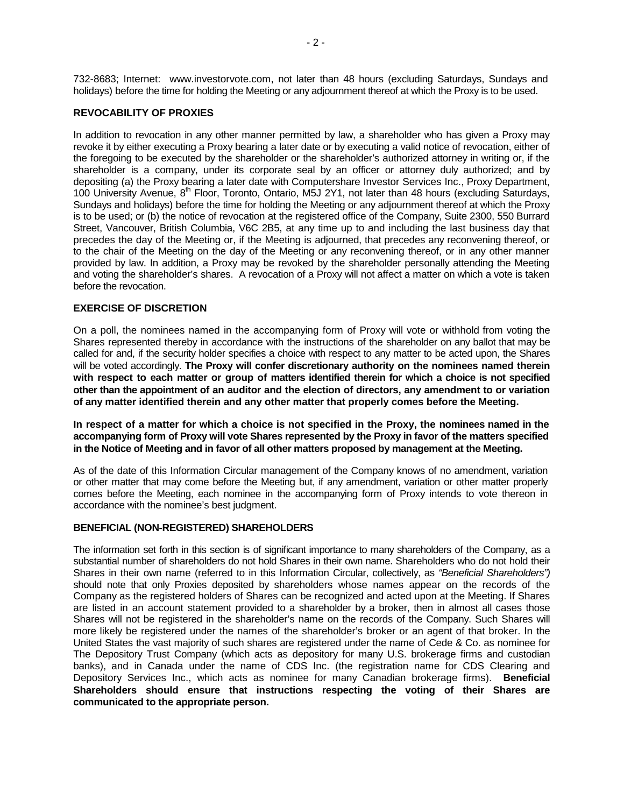732-8683; Internet: www.investorvote.com, not later than 48 hours (excluding Saturdays, Sundays and holidays) before the time for holding the Meeting or any adjournment thereof at which the Proxy is to be used.

## **REVOCABILITY OF PROXIES**

In addition to revocation in any other manner permitted by law, a shareholder who has given a Proxy may revoke it by either executing a Proxy bearing a later date or by executing a valid notice of revocation, either of the foregoing to be executed by the shareholder or the shareholder's authorized attorney in writing or, if the shareholder is a company, under its corporate seal by an officer or attorney duly authorized; and by depositing (a) the Proxy bearing a later date with Computershare Investor Services Inc., Proxy Department, 100 University Avenue,  $8^{th}$  Floor, Toronto, Ontario, M5J 2Y1, not later than 48 hours (excluding Saturdays, Sundays and holidays) before the time for holding the Meeting or any adjournment thereof at which the Proxy is to be used; or (b) the notice of revocation at the registered office of the Company, Suite 2300, 550 Burrard Street, Vancouver, British Columbia, V6C 2B5, at any time up to and including the last business day that precedes the day of the Meeting or, if the Meeting is adjourned, that precedes any reconvening thereof, or to the chair of the Meeting on the day of the Meeting or any reconvening thereof, or in any other manner provided by law. In addition, a Proxy may be revoked by the shareholder personally attending the Meeting and voting the shareholder's shares. A revocation of a Proxy will not affect a matter on which a vote is taken before the revocation.

## **EXERCISE OF DISCRETION**

On a poll, the nominees named in the accompanying form of Proxy will vote or withhold from voting the Shares represented thereby in accordance with the instructions of the shareholder on any ballot that may be called for and, if the security holder specifies a choice with respect to any matter to be acted upon, the Shares will be voted accordingly. **The Proxy will confer discretionary authority on the nominees named therein with respect to each matter or group of matters identified therein for which a choice is not specified other than the appointment of an auditor and the election of directors, any amendment to or variation of any matter identified therein and any other matter that properly comes before the Meeting.** 

**In respect of a matter for which a choice is not specified in the Proxy, the nominees named in the accompanying form of Proxy will vote Shares represented by the Proxy in favor of the matters specified in the Notice of Meeting and in favor of all other matters proposed by management at the Meeting.**

As of the date of this Information Circular management of the Company knows of no amendment, variation or other matter that may come before the Meeting but, if any amendment, variation or other matter properly comes before the Meeting, each nominee in the accompanying form of Proxy intends to vote thereon in accordance with the nominee's best judgment.

#### **BENEFICIAL (NON-REGISTERED) SHAREHOLDERS**

The information set forth in this section is of significant importance to many shareholders of the Company, as a substantial number of shareholders do not hold Shares in their own name. Shareholders who do not hold their Shares in their own name (referred to in this Information Circular, collectively, as *"Beneficial Shareholders")*  should note that only Proxies deposited by shareholders whose names appear on the records of the Company as the registered holders of Shares can be recognized and acted upon at the Meeting. If Shares are listed in an account statement provided to a shareholder by a broker, then in almost all cases those Shares will not be registered in the shareholder's name on the records of the Company. Such Shares will more likely be registered under the names of the shareholder's broker or an agent of that broker. In the United States the vast majority of such shares are registered under the name of Cede & Co. as nominee for The Depository Trust Company (which acts as depository for many U.S. brokerage firms and custodian banks), and in Canada under the name of CDS Inc. (the registration name for CDS Clearing and Depository Services Inc., which acts as nominee for many Canadian brokerage firms). **Beneficial Shareholders should ensure that instructions respecting the voting of their Shares are communicated to the appropriate person.**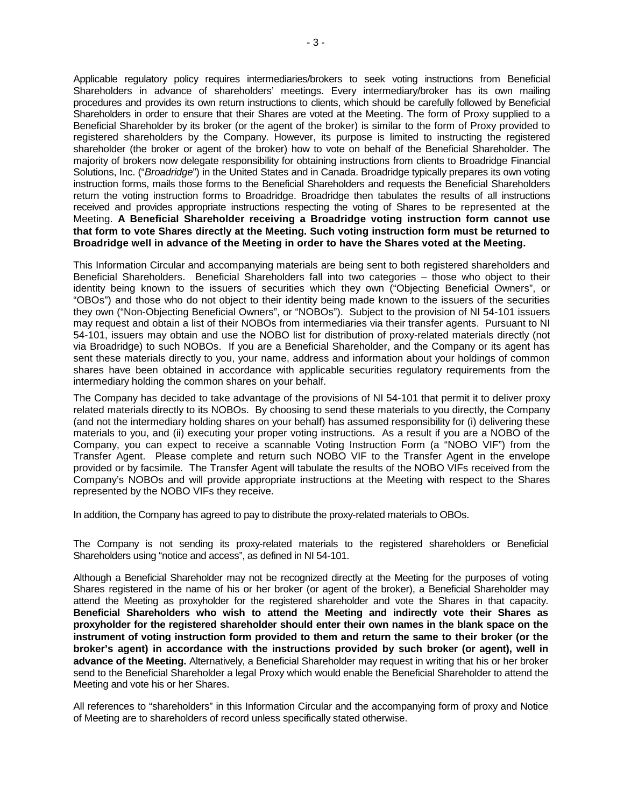Applicable regulatory policy requires intermediaries/brokers to seek voting instructions from Beneficial Shareholders in advance of shareholders' meetings. Every intermediary/broker has its own mailing procedures and provides its own return instructions to clients, which should be carefully followed by Beneficial Shareholders in order to ensure that their Shares are voted at the Meeting. The form of Proxy supplied to a Beneficial Shareholder by its broker (or the agent of the broker) is similar to the form of Proxy provided to registered shareholders by the Company. However, its purpose is limited to instructing the registered shareholder (the broker or agent of the broker) how to vote on behalf of the Beneficial Shareholder. The majority of brokers now delegate responsibility for obtaining instructions from clients to Broadridge Financial Solutions, Inc. ("*Broadridge*") in the United States and in Canada. Broadridge typically prepares its own voting instruction forms, mails those forms to the Beneficial Shareholders and requests the Beneficial Shareholders return the voting instruction forms to Broadridge. Broadridge then tabulates the results of all instructions received and provides appropriate instructions respecting the voting of Shares to be represented at the Meeting. **A Beneficial Shareholder receiving a Broadridge voting instruction form cannot use that form to vote Shares directly at the Meeting. Such voting instruction form must be returned to Broadridge well in advance of the Meeting in order to have the Shares voted at the Meeting.**

This Information Circular and accompanying materials are being sent to both registered shareholders and Beneficial Shareholders. Beneficial Shareholders fall into two categories – those who object to their identity being known to the issuers of securities which they own ("Objecting Beneficial Owners", or "OBOs") and those who do not object to their identity being made known to the issuers of the securities they own ("Non-Objecting Beneficial Owners", or "NOBOs"). Subject to the provision of NI 54-101 issuers may request and obtain a list of their NOBOs from intermediaries via their transfer agents. Pursuant to NI 54-101, issuers may obtain and use the NOBO list for distribution of proxy-related materials directly (not via Broadridge) to such NOBOs. If you are a Beneficial Shareholder, and the Company or its agent has sent these materials directly to you, your name, address and information about your holdings of common shares have been obtained in accordance with applicable securities regulatory requirements from the intermediary holding the common shares on your behalf.

The Company has decided to take advantage of the provisions of NI 54-101 that permit it to deliver proxy related materials directly to its NOBOs. By choosing to send these materials to you directly, the Company (and not the intermediary holding shares on your behalf) has assumed responsibility for (i) delivering these materials to you, and (ii) executing your proper voting instructions. As a result if you are a NOBO of the Company, you can expect to receive a scannable Voting Instruction Form (a "NOBO VIF") from the Transfer Agent. Please complete and return such NOBO VIF to the Transfer Agent in the envelope provided or by facsimile. The Transfer Agent will tabulate the results of the NOBO VIFs received from the Company's NOBOs and will provide appropriate instructions at the Meeting with respect to the Shares represented by the NOBO VIFs they receive.

In addition, the Company has agreed to pay to distribute the proxy-related materials to OBOs.

The Company is not sending its proxy-related materials to the registered shareholders or Beneficial Shareholders using "notice and access", as defined in NI 54-101.

Although a Beneficial Shareholder may not be recognized directly at the Meeting for the purposes of voting Shares registered in the name of his or her broker (or agent of the broker), a Beneficial Shareholder may attend the Meeting as proxyholder for the registered shareholder and vote the Shares in that capacity. **Beneficial Shareholders who wish to attend the Meeting and indirectly vote their Shares as proxyholder for the registered shareholder should enter their own names in the blank space on the instrument of voting instruction form provided to them and return the same to their broker (or the broker's agent) in accordance with the instructions provided by such broker (or agent), well in advance of the Meeting.** Alternatively, a Beneficial Shareholder may request in writing that his or her broker send to the Beneficial Shareholder a legal Proxy which would enable the Beneficial Shareholder to attend the Meeting and vote his or her Shares.

All references to "shareholders" in this Information Circular and the accompanying form of proxy and Notice of Meeting are to shareholders of record unless specifically stated otherwise.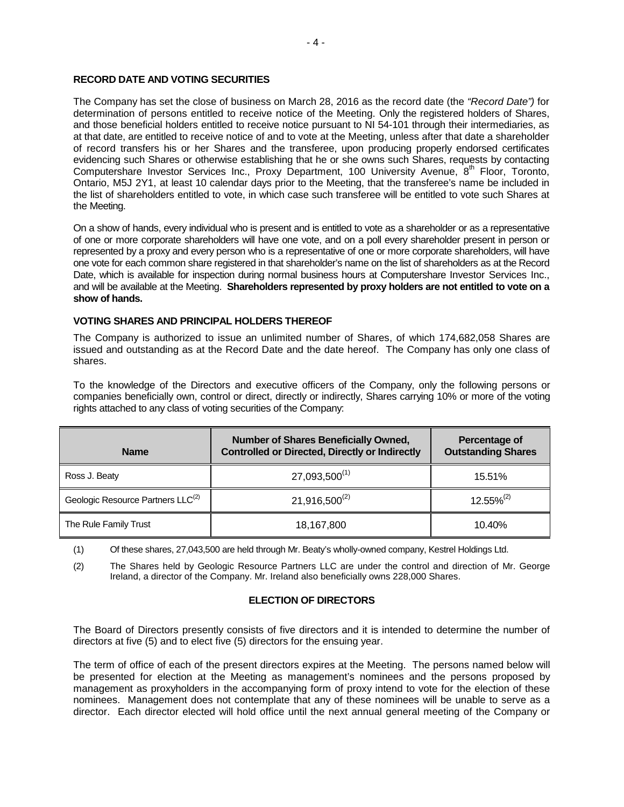## **RECORD DATE AND VOTING SECURITIES**

The Company has set the close of business on March 28, 2016 as the record date (the *"Record Date")* for determination of persons entitled to receive notice of the Meeting. Only the registered holders of Shares, and those beneficial holders entitled to receive notice pursuant to NI 54-101 through their intermediaries, as at that date, are entitled to receive notice of and to vote at the Meeting, unless after that date a shareholder of record transfers his or her Shares and the transferee, upon producing properly endorsed certificates evidencing such Shares or otherwise establishing that he or she owns such Shares, requests by contacting Computershare Investor Services Inc., Proxy Department, 100 University Avenue, 8<sup>th</sup> Floor, Toronto, Ontario, M5J 2Y1, at least 10 calendar days prior to the Meeting, that the transferee's name be included in the list of shareholders entitled to vote, in which case such transferee will be entitled to vote such Shares at the Meeting.

On a show of hands, every individual who is present and is entitled to vote as a shareholder or as a representative of one or more corporate shareholders will have one vote, and on a poll every shareholder present in person or represented by a proxy and every person who is a representative of one or more corporate shareholders, will have one vote for each common share registered in that shareholder's name on the list of shareholders as at the Record Date, which is available for inspection during normal business hours at Computershare Investor Services Inc., and will be available at the Meeting. **Shareholders represented by proxy holders are not entitled to vote on a show of hands.**

## **VOTING SHARES AND PRINCIPAL HOLDERS THEREOF**

The Company is authorized to issue an unlimited number of Shares, of which 174,682,058 Shares are issued and outstanding as at the Record Date and the date hereof. The Company has only one class of shares.

To the knowledge of the Directors and executive officers of the Company, only the following persons or companies beneficially own, control or direct, directly or indirectly, Shares carrying 10% or more of the voting rights attached to any class of voting securities of the Company:

| <b>Name</b>                                   | <b>Number of Shares Beneficially Owned,</b><br><b>Controlled or Directed, Directly or Indirectly</b> | Percentage of<br><b>Outstanding Shares</b> |
|-----------------------------------------------|------------------------------------------------------------------------------------------------------|--------------------------------------------|
| Ross J. Beaty                                 | $27,093,500^{(1)}$                                                                                   | 15.51%                                     |
| Geologic Resource Partners LLC <sup>(2)</sup> | $21,916,500^{(2)}$                                                                                   | $12.55\%^{(2)}$                            |
| The Rule Family Trust                         | 18,167,800                                                                                           | 10.40%                                     |

(1) Of these shares, 27,043,500 are held through Mr. Beaty's wholly-owned company, Kestrel Holdings Ltd.

(2) The Shares held by Geologic Resource Partners LLC are under the control and direction of Mr. George Ireland, a director of the Company. Mr. Ireland also beneficially owns 228,000 Shares.

## **ELECTION OF DIRECTORS**

The Board of Directors presently consists of five directors and it is intended to determine the number of directors at five (5) and to elect five (5) directors for the ensuing year.

The term of office of each of the present directors expires at the Meeting. The persons named below will be presented for election at the Meeting as management's nominees and the persons proposed by management as proxyholders in the accompanying form of proxy intend to vote for the election of these nominees. Management does not contemplate that any of these nominees will be unable to serve as a director. Each director elected will hold office until the next annual general meeting of the Company or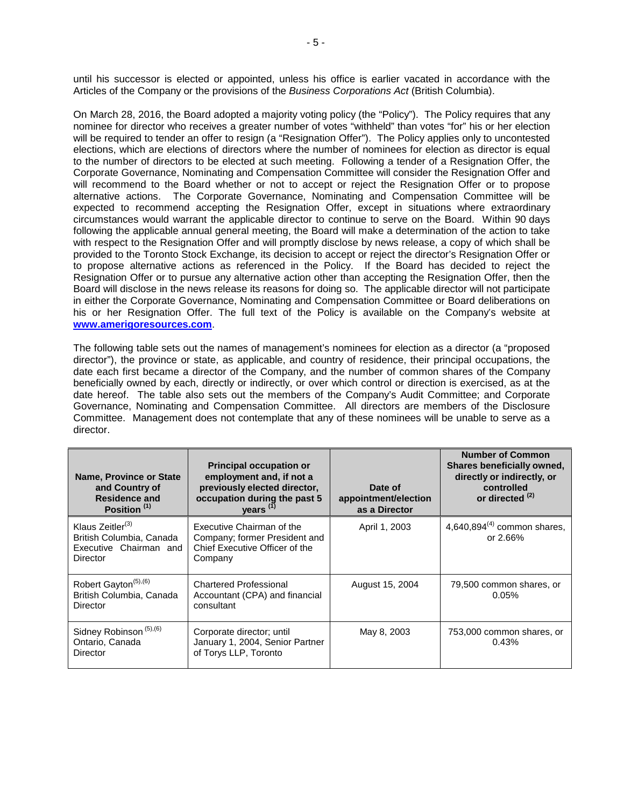until his successor is elected or appointed, unless his office is earlier vacated in accordance with the Articles of the Company or the provisions of the *Business Corporations Act* (British Columbia).

On March 28, 2016, the Board adopted a majority voting policy (the "Policy"). The Policy requires that any nominee for director who receives a greater number of votes "withheld" than votes "for" his or her election will be required to tender an offer to resign (a "Resignation Offer"). The Policy applies only to uncontested elections, which are elections of directors where the number of nominees for election as director is equal to the number of directors to be elected at such meeting. Following a tender of a Resignation Offer, the Corporate Governance, Nominating and Compensation Committee will consider the Resignation Offer and will recommend to the Board whether or not to accept or reject the Resignation Offer or to propose alternative actions. The Corporate Governance, Nominating and Compensation Committee will be expected to recommend accepting the Resignation Offer, except in situations where extraordinary circumstances would warrant the applicable director to continue to serve on the Board. Within 90 days following the applicable annual general meeting, the Board will make a determination of the action to take with respect to the Resignation Offer and will promptly disclose by news release, a copy of which shall be provided to the Toronto Stock Exchange, its decision to accept or reject the director's Resignation Offer or to propose alternative actions as referenced in the Policy. If the Board has decided to reject the Resignation Offer or to pursue any alternative action other than accepting the Resignation Offer, then the Board will disclose in the news release its reasons for doing so. The applicable director will not participate in either the Corporate Governance, Nominating and Compensation Committee or Board deliberations on his or her Resignation Offer. The full text of the Policy is available on the Company's website at **[www.amerigoresources.com](http://www.amerigoresources.com/)**.

The following table sets out the names of management's nominees for election as a director (a "proposed director"), the province or state, as applicable, and country of residence, their principal occupations, the date each first became a director of the Company, and the number of common shares of the Company beneficially owned by each, directly or indirectly, or over which control or direction is exercised, as at the date hereof. The table also sets out the members of the Company's Audit Committee; and Corporate Governance, Nominating and Compensation Committee. All directors are members of the Disclosure Committee. Management does not contemplate that any of these nominees will be unable to serve as a director.

| Name, Province or State<br>and Country of<br><b>Residence and</b><br>Position <sup>(1)</sup>   | <b>Principal occupation or</b><br>employment and, if not a<br>previously elected director,<br>occupation during the past 5<br>years <sup>(1)</sup> | Date of<br>appointment/election<br>as a Director | <b>Number of Common</b><br>Shares beneficially owned,<br>directly or indirectly, or<br>controlled<br>or directed <sup>(2)</sup> |
|------------------------------------------------------------------------------------------------|----------------------------------------------------------------------------------------------------------------------------------------------------|--------------------------------------------------|---------------------------------------------------------------------------------------------------------------------------------|
| Klaus Zeitler <sup>(3)</sup><br>British Columbia, Canada<br>Executive Chairman and<br>Director | Executive Chairman of the<br>Company; former President and<br>Chief Executive Officer of the<br>Company                                            | April 1, 2003                                    | 4,640,894 $^{(4)}$ common shares,<br>or 2.66%                                                                                   |
| Robert Gayton <sup>(5),(6)</sup><br>British Columbia, Canada<br>Director                       | <b>Chartered Professional</b><br>Accountant (CPA) and financial<br>consultant                                                                      | August 15, 2004                                  | 79,500 common shares, or<br>0.05%                                                                                               |
| Sidney Robinson <sup>(5),(6)</sup><br>Ontario, Canada<br>Director                              | Corporate director; until<br>January 1, 2004, Senior Partner<br>of Torys LLP, Toronto                                                              | May 8, 2003                                      | 753,000 common shares, or<br>0.43%                                                                                              |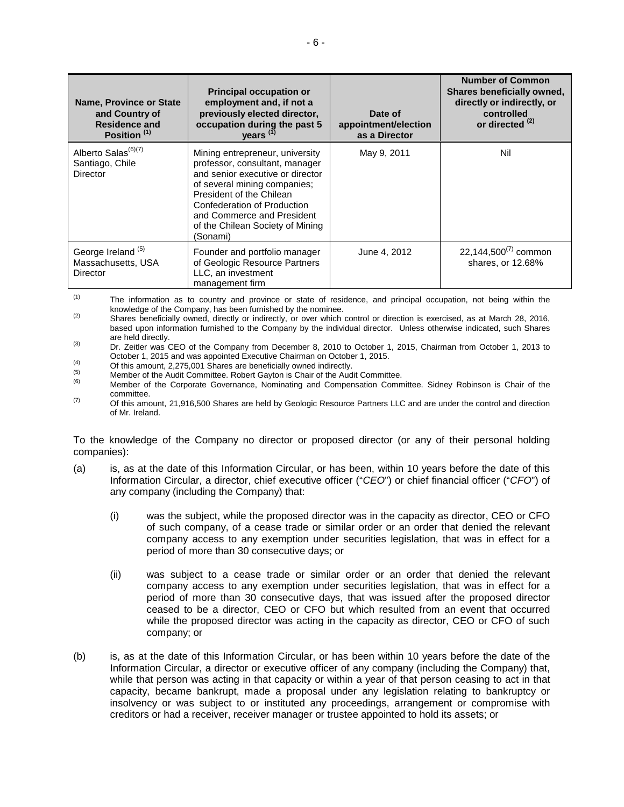| Name, Province or State<br>and Country of<br><b>Residence and</b><br>Position <sup>(1)</sup> | <b>Principal occupation or</b><br>employment and, if not a<br>previously elected director,<br>occupation during the past 5<br>years <sup>(1)</sup>                                                                                                                             | Date of<br>appointment/election<br>as a Director | <b>Number of Common</b><br>Shares beneficially owned,<br>directly or indirectly, or<br>controlled<br>or directed <sup>(2)</sup> |
|----------------------------------------------------------------------------------------------|--------------------------------------------------------------------------------------------------------------------------------------------------------------------------------------------------------------------------------------------------------------------------------|--------------------------------------------------|---------------------------------------------------------------------------------------------------------------------------------|
| Alberto Salas <sup>(6)(7)</sup><br>Santiago, Chile<br><b>Director</b>                        | Mining entrepreneur, university<br>professor, consultant, manager<br>and senior executive or director<br>of several mining companies;<br>President of the Chilean<br>Confederation of Production<br>and Commerce and President<br>of the Chilean Society of Mining<br>(Sonami) | May 9, 2011                                      | Nil                                                                                                                             |
| George Ireland <sup>(5)</sup><br>Massachusetts, USA<br>Director                              | Founder and portfolio manager<br>of Geologic Resource Partners<br>LLC, an investment<br>management firm                                                                                                                                                                        | June 4, 2012                                     | 22,144,500 $^{(7)}$ common<br>shares, or 12.68%                                                                                 |

(1) The information as to country and province or state of residence, and principal occupation, not being within the knowledge of the Company, has been furnished by the nominee.

<sup>(2)</sup> Shares beneficially owned, directly or indirectly, or over which control or direction is exercised, as at March 28, 2016, based upon information furnished to the Company by the individual director. Unless otherwise indicated, such Shares

are held directly.<br>
Dr. Zeitler was CEO of the Company from December 8, 2010 to October 1, 2015, Chairman from October 1, 2013 to<br>
October 1, 2015 and was appointed Executive Chairman on October 1, 2015.

(4)<br>
Of this amount, 2,275,001 Shares are beneficially owned indirectly.<br>
Member of the Audit Committee. Robert Gayton is Chair of the Audit Committee.<br>
Member of the Corporate Governance, Nominating and Compensation Commi committee.

 $(7)$  Of this amount, 21,916,500 Shares are held by Geologic Resource Partners LLC and are under the control and direction of Mr. Ireland.

To the knowledge of the Company no director or proposed director (or any of their personal holding companies):

- (a) is, as at the date of this Information Circular, or has been, within 10 years before the date of this Information Circular, a director, chief executive officer ("*CEO*") or chief financial officer ("*CFO*") of any company (including the Company) that:
	- (i) was the subject, while the proposed director was in the capacity as director, CEO or CFO of such company, of a cease trade or similar order or an order that denied the relevant company access to any exemption under securities legislation, that was in effect for a period of more than 30 consecutive days; or
	- (ii) was subject to a cease trade or similar order or an order that denied the relevant company access to any exemption under securities legislation, that was in effect for a period of more than 30 consecutive days, that was issued after the proposed director ceased to be a director, CEO or CFO but which resulted from an event that occurred while the proposed director was acting in the capacity as director, CEO or CFO of such company; or
- (b) is, as at the date of this Information Circular, or has been within 10 years before the date of the Information Circular, a director or executive officer of any company (including the Company) that, while that person was acting in that capacity or within a year of that person ceasing to act in that capacity, became bankrupt, made a proposal under any legislation relating to bankruptcy or insolvency or was subject to or instituted any proceedings, arrangement or compromise with creditors or had a receiver, receiver manager or trustee appointed to hold its assets; or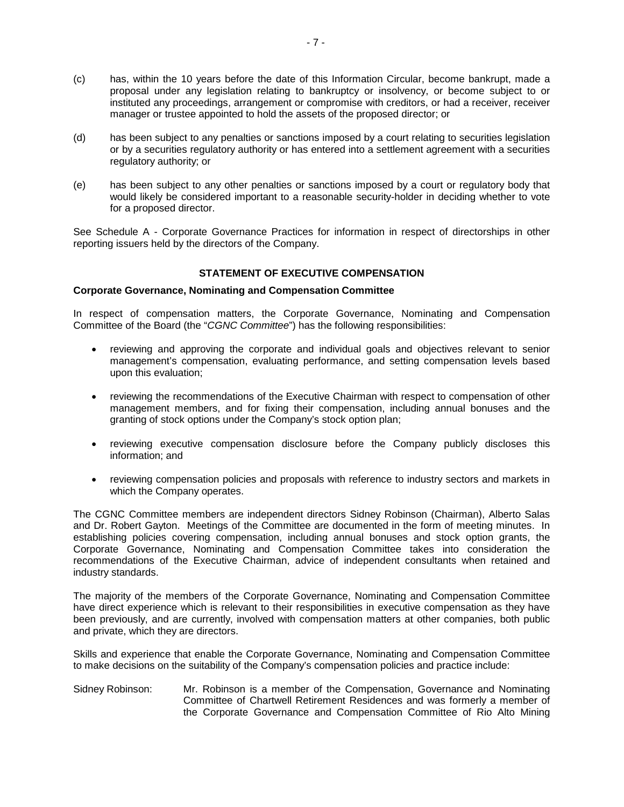- (c) has, within the 10 years before the date of this Information Circular, become bankrupt, made a proposal under any legislation relating to bankruptcy or insolvency, or become subject to or instituted any proceedings, arrangement or compromise with creditors, or had a receiver, receiver manager or trustee appointed to hold the assets of the proposed director; or
- (d) has been subject to any penalties or sanctions imposed by a court relating to securities legislation or by a securities regulatory authority or has entered into a settlement agreement with a securities regulatory authority; or
- (e) has been subject to any other penalties or sanctions imposed by a court or regulatory body that would likely be considered important to a reasonable security-holder in deciding whether to vote for a proposed director.

See Schedule A - Corporate Governance Practices for information in respect of directorships in other reporting issuers held by the directors of the Company.

## **STATEMENT OF EXECUTIVE COMPENSATION**

#### **Corporate Governance, Nominating and Compensation Committee**

In respect of compensation matters, the Corporate Governance, Nominating and Compensation Committee of the Board (the "*CGNC Committee*") has the following responsibilities:

- reviewing and approving the corporate and individual goals and objectives relevant to senior management's compensation, evaluating performance, and setting compensation levels based upon this evaluation;
- reviewing the recommendations of the Executive Chairman with respect to compensation of other management members, and for fixing their compensation, including annual bonuses and the granting of stock options under the Company's stock option plan;
- reviewing executive compensation disclosure before the Company publicly discloses this information; and
- reviewing compensation policies and proposals with reference to industry sectors and markets in which the Company operates.

The CGNC Committee members are independent directors Sidney Robinson (Chairman), Alberto Salas and Dr. Robert Gayton. Meetings of the Committee are documented in the form of meeting minutes. In establishing policies covering compensation, including annual bonuses and stock option grants, the Corporate Governance, Nominating and Compensation Committee takes into consideration the recommendations of the Executive Chairman, advice of independent consultants when retained and industry standards.

The majority of the members of the Corporate Governance, Nominating and Compensation Committee have direct experience which is relevant to their responsibilities in executive compensation as they have been previously, and are currently, involved with compensation matters at other companies, both public and private, which they are directors.

Skills and experience that enable the Corporate Governance, Nominating and Compensation Committee to make decisions on the suitability of the Company's compensation policies and practice include:

Sidney Robinson: Mr. Robinson is a member of the Compensation, Governance and Nominating Committee of Chartwell Retirement Residences and was formerly a member of the Corporate Governance and Compensation Committee of Rio Alto Mining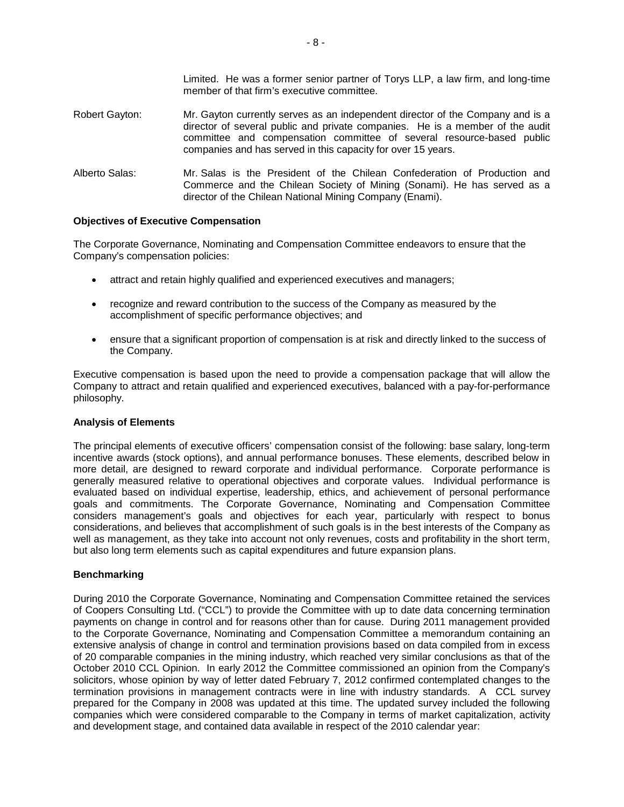Limited. He was a former senior partner of Torys LLP, a law firm, and long-time member of that firm's executive committee.

- Robert Gayton: Mr. Gayton currently serves as an independent director of the Company and is a director of several public and private companies. He is a member of the audit committee and compensation committee of several resource-based public companies and has served in this capacity for over 15 years.
- Alberto Salas: Mr. Salas is the President of the Chilean Confederation of Production and Commerce and the Chilean Society of Mining (Sonami). He has served as a director of the Chilean National Mining Company (Enami).

#### **Objectives of Executive Compensation**

The Corporate Governance, Nominating and Compensation Committee endeavors to ensure that the Company's compensation policies:

- attract and retain highly qualified and experienced executives and managers;
- recognize and reward contribution to the success of the Company as measured by the accomplishment of specific performance objectives; and
- ensure that a significant proportion of compensation is at risk and directly linked to the success of the Company.

Executive compensation is based upon the need to provide a compensation package that will allow the Company to attract and retain qualified and experienced executives, balanced with a pay-for-performance philosophy.

#### **Analysis of Elements**

The principal elements of executive officers' compensation consist of the following: base salary, long-term incentive awards (stock options), and annual performance bonuses. These elements, described below in more detail, are designed to reward corporate and individual performance. Corporate performance is generally measured relative to operational objectives and corporate values. Individual performance is evaluated based on individual expertise, leadership, ethics, and achievement of personal performance goals and commitments. The Corporate Governance, Nominating and Compensation Committee considers management's goals and objectives for each year, particularly with respect to bonus considerations, and believes that accomplishment of such goals is in the best interests of the Company as well as management, as they take into account not only revenues, costs and profitability in the short term, but also long term elements such as capital expenditures and future expansion plans.

## **Benchmarking**

During 2010 the Corporate Governance, Nominating and Compensation Committee retained the services of Coopers Consulting Ltd. ("CCL") to provide the Committee with up to date data concerning termination payments on change in control and for reasons other than for cause. During 2011 management provided to the Corporate Governance, Nominating and Compensation Committee a memorandum containing an extensive analysis of change in control and termination provisions based on data compiled from in excess of 20 comparable companies in the mining industry, which reached very similar conclusions as that of the October 2010 CCL Opinion. In early 2012 the Committee commissioned an opinion from the Company's solicitors, whose opinion by way of letter dated February 7, 2012 confirmed contemplated changes to the termination provisions in management contracts were in line with industry standards. A CCL survey prepared for the Company in 2008 was updated at this time. The updated survey included the following companies which were considered comparable to the Company in terms of market capitalization, activity and development stage, and contained data available in respect of the 2010 calendar year: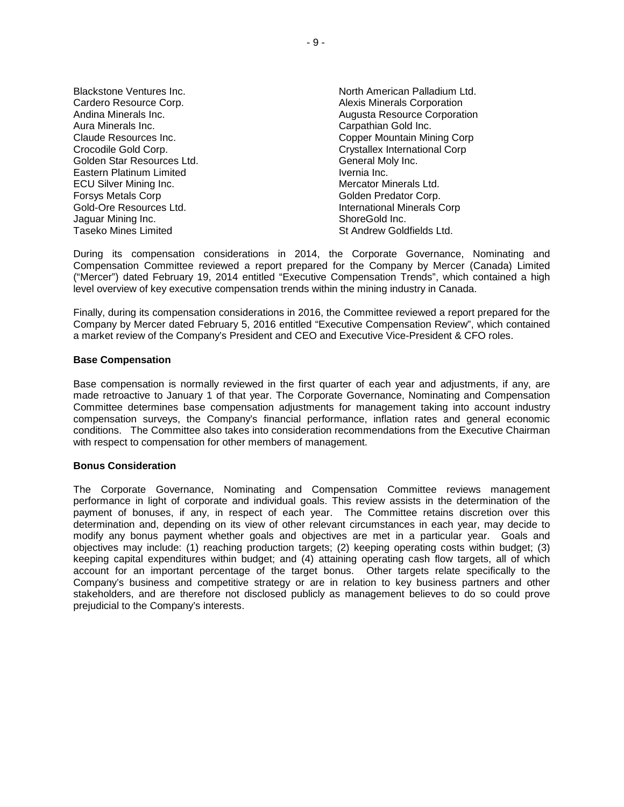| Blackstone Ventures Inc.      |
|-------------------------------|
| Cardero Resource Corp.        |
| Andina Minerals Inc.          |
| Aura Minerals Inc.            |
| Claude Resources Inc.         |
| Crocodile Gold Corp.          |
| Golden Star Resources Ltd.    |
| Eastern Platinum Limited      |
| <b>ECU Silver Mining Inc.</b> |
| <b>Forsys Metals Corp</b>     |
| Gold-Ore Resources Ltd.       |
| Jaguar Mining Inc.            |
| <b>Taseko Mines Limited</b>   |
|                               |

North American Palladium Ltd. Alexis Minerals Corporation Augusta Resource Corporation Carpathian Gold Inc. Copper Mountain Mining Corp Crystallex International Corp. General Moly Inc. Ivernia Inc. Mercator Minerals Ltd. Golden Predator Corp. International Minerals Corp ShoreGold Inc. St Andrew Goldfields Ltd.

During its compensation considerations in 2014, the Corporate Governance, Nominating and Compensation Committee reviewed a report prepared for the Company by Mercer (Canada) Limited ("Mercer") dated February 19, 2014 entitled "Executive Compensation Trends", which contained a high level overview of key executive compensation trends within the mining industry in Canada.

Finally, during its compensation considerations in 2016, the Committee reviewed a report prepared for the Company by Mercer dated February 5, 2016 entitled "Executive Compensation Review", which contained a market review of the Company's President and CEO and Executive Vice-President & CFO roles.

#### **Base Compensation**

Base compensation is normally reviewed in the first quarter of each year and adjustments, if any, are made retroactive to January 1 of that year. The Corporate Governance, Nominating and Compensation Committee determines base compensation adjustments for management taking into account industry compensation surveys, the Company's financial performance, inflation rates and general economic conditions. The Committee also takes into consideration recommendations from the Executive Chairman with respect to compensation for other members of management.

#### **Bonus Consideration**

The Corporate Governance, Nominating and Compensation Committee reviews management performance in light of corporate and individual goals. This review assists in the determination of the payment of bonuses, if any, in respect of each year. The Committee retains discretion over this determination and, depending on its view of other relevant circumstances in each year, may decide to modify any bonus payment whether goals and objectives are met in a particular year. Goals and objectives may include: (1) reaching production targets; (2) keeping operating costs within budget; (3) keeping capital expenditures within budget; and (4) attaining operating cash flow targets, all of which account for an important percentage of the target bonus. Other targets relate specifically to the Company's business and competitive strategy or are in relation to key business partners and other stakeholders, and are therefore not disclosed publicly as management believes to do so could prove prejudicial to the Company's interests.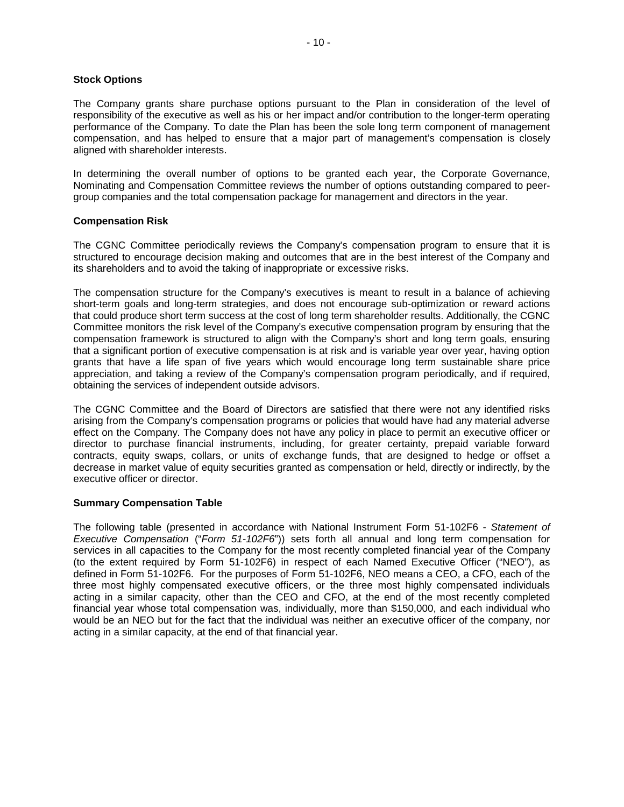#### **Stock Options**

The Company grants share purchase options pursuant to the Plan in consideration of the level of responsibility of the executive as well as his or her impact and/or contribution to the longer-term operating performance of the Company. To date the Plan has been the sole long term component of management compensation, and has helped to ensure that a major part of management's compensation is closely aligned with shareholder interests.

In determining the overall number of options to be granted each year, the Corporate Governance, Nominating and Compensation Committee reviews the number of options outstanding compared to peergroup companies and the total compensation package for management and directors in the year.

## **Compensation Risk**

The CGNC Committee periodically reviews the Company's compensation program to ensure that it is structured to encourage decision making and outcomes that are in the best interest of the Company and its shareholders and to avoid the taking of inappropriate or excessive risks.

The compensation structure for the Company's executives is meant to result in a balance of achieving short-term goals and long-term strategies, and does not encourage sub-optimization or reward actions that could produce short term success at the cost of long term shareholder results. Additionally, the CGNC Committee monitors the risk level of the Company's executive compensation program by ensuring that the compensation framework is structured to align with the Company's short and long term goals, ensuring that a significant portion of executive compensation is at risk and is variable year over year, having option grants that have a life span of five years which would encourage long term sustainable share price appreciation, and taking a review of the Company's compensation program periodically, and if required, obtaining the services of independent outside advisors.

The CGNC Committee and the Board of Directors are satisfied that there were not any identified risks arising from the Company's compensation programs or policies that would have had any material adverse effect on the Company. The Company does not have any policy in place to permit an executive officer or director to purchase financial instruments, including, for greater certainty, prepaid variable forward contracts, equity swaps, collars, or units of exchange funds, that are designed to hedge or offset a decrease in market value of equity securities granted as compensation or held, directly or indirectly, by the executive officer or director.

#### **Summary Compensation Table**

The following table (presented in accordance with National Instrument Form 51-102F6 - *Statement of Executive Compensation* ("*Form 51-102F6*")) sets forth all annual and long term compensation for services in all capacities to the Company for the most recently completed financial year of the Company (to the extent required by Form 51-102F6) in respect of each Named Executive Officer ("NEO"), as defined in Form 51-102F6. For the purposes of Form 51-102F6, NEO means a CEO, a CFO, each of the three most highly compensated executive officers, or the three most highly compensated individuals acting in a similar capacity, other than the CEO and CFO, at the end of the most recently completed financial year whose total compensation was, individually, more than \$150,000, and each individual who would be an NEO but for the fact that the individual was neither an executive officer of the company, nor acting in a similar capacity, at the end of that financial year.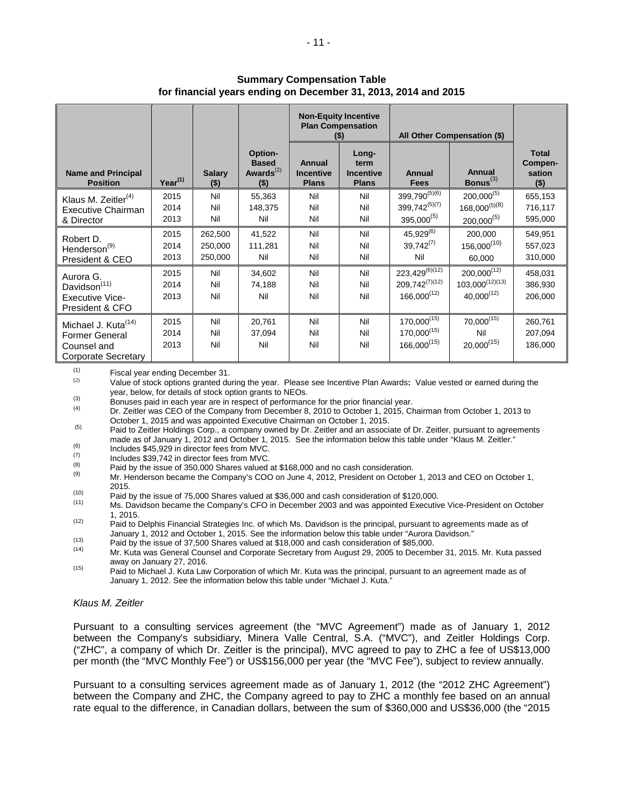|                                                                                                |                      |                               | <b>Non-Equity Incentive</b><br><b>Plan Compensation</b><br>$($ \$) |                                            | All Other Compensation (\$)                       |                                                                    |                                                             |                                              |
|------------------------------------------------------------------------------------------------|----------------------|-------------------------------|--------------------------------------------------------------------|--------------------------------------------|---------------------------------------------------|--------------------------------------------------------------------|-------------------------------------------------------------|----------------------------------------------|
| <b>Name and Principal</b><br><b>Position</b>                                                   | $Year^{(1)}$         | <b>Salary</b><br>$($ \$)      | Option-<br><b>Based</b><br>Awards $^{(2)}$<br>( \$ )               | Annual<br><b>Incentive</b><br><b>Plans</b> | Long-<br>term<br><b>Incentive</b><br><b>Plans</b> | <b>Annual</b><br><b>Fees</b>                                       | Annual<br>Bonus $^{(3)}$                                    | <b>Total</b><br>Compen-<br>sation<br>$($ \$) |
| Klaus M. Zeitler $(4)$<br>Executive Chairman<br>& Director                                     | 2015<br>2014<br>2013 | Nil<br>Nil<br>Nil             | 55,363<br>148,375<br>Nil                                           | Nil<br>Nil<br>Nil                          | Nil<br>Nil<br>Nil                                 | 399,790 <sup>(5)(6)</sup><br>$399,742^{(5)(7)}$<br>$395,000^{(5)}$ | $200,000^{(5)}$<br>$168,000^{(5)(8)}$<br>$200,000^{(5)}$    | 655,153<br>716,117<br>595,000                |
| Robert D.<br>Henderson <sup>(9)</sup><br>President & CEO                                       | 2015<br>2014<br>2013 | 262,500<br>250,000<br>250,000 | 41,522<br>111,281<br>Nil                                           | Nil<br>Nil<br>Nil                          | Nil<br>Nil<br>Nil                                 | $45,929^{(6)}$<br>$39,742^{(7)}$<br>Nil                            | 200,000<br>$156,000^{(10)}$<br>60,000                       | 549,951<br>557,023<br>310,000                |
| Aurora G.<br>Davidson <sup>(11)</sup><br><b>Executive Vice-</b><br>President & CFO             | 2015<br>2014<br>2013 | Nil<br>Nil<br>Nil             | 34,602<br>74,188<br>Nil                                            | Nil<br>Nil<br>Nil                          | Nil<br>Nil<br>Nil                                 | $223,429^{(6)(12)}$<br>$209,742^{(7)(12)}$<br>$166,000^{(12)}$     | $200,000^{(12)}$<br>$103,000^{(12)(13)}$<br>$40,000^{(12)}$ | 458,031<br>386,930<br>206,000                |
| Michael J. Kuta <sup>(14)</sup><br><b>Former General</b><br>Counsel and<br>Corporate Secretary | 2015<br>2014<br>2013 | Nil<br>Nil<br>Nil             | 20,761<br>37,094<br>Nil                                            | Nil<br>Nil<br>Nil                          | Nil<br>Nil<br>Nil                                 | $170,000^{(15)}$<br>$170,000^{(15)}$<br>$166,000^{(15)}$           | $70,000^{(15)}$<br>Nil<br>$20,000^{(15)}$                   | 260,761<br>207,094<br>186,000                |

## **Summary Compensation Table for financial years ending on December 31, 2013, 2014 and 2015**

 $\begin{array}{cc}\n (1) & \text{Fiscal year ending December 31.} \\
 (2) & \text{Value of itself entries created due to the image.}\n \end{array}$ 

Value of stock options granted during the year. Please see Incentive Plan Awards: Value vested or earned during the<br>year, below, for details of stock option grants to NEOs.

Bonuses paid in each year are in respect of performance for the prior financial year.<br>  $P_{\text{C}}$  Dr. Zeitler was CEO of the Company from December 8, 2010 to October 1, 2015, Chairman from October 1, 2013 to<br>
October 1, 20

 $\frac{1}{200}$  Paid to Zeitler Holdings Corp., a company owned by Dr. Zeitler and an associate of Dr. Zeitler, pursuant to agreements made as of January 1, 2012 and October 1, 2015. See the information below this table under "Klaus M. Zeitler."<br>Includes \$45,929 in director fees from MVC.<br>(7) Includes \$29,742 in director fees from MVC.

 $\frac{(7)}{(8)}$  Includes \$39,742 in director fees from MVC.

(8) Paid by the issue of 350,000 Shares valued at \$168,000 and no cash consideration.

Mr. Henderson became the Company's COO on June 4, 2012, President on October 1, 2013 and CEO on October 1, 2015.

- 
- (10) Paid by the issue of 75,000 Shares valued at \$36,000 and cash consideration of \$120,000.<br>(11) Ms. Davidson became the Company's CFO in December 2003 and was appointed Executive Vice-President on October 1, 2015.

(12) Paid to Delphis Financial Strategies Inc. of which Ms. Davidson is the principal, pursuant to agreements made as of<br>January 1, 2012 and October 1, 2015. See the information below this table under "Aurora Davidson."

<sup>(13)</sup> Paid by the issue of 37,500 Shares valued at \$18,000 and cash consideration of \$85,000.<br>
Mr. Kuta was General Counsel and Corporate Secretary from August 29, 2005 to December 31, 2015. Mr. Kuta passed away on January 27, 2016.

(15) Paid to Michael J. Kuta Law Corporation of which Mr. Kuta was the principal, pursuant to an agreement made as of January 1, 2012. See the information below this table under "Michael J. Kuta."

## *Klaus M. Zeitler*

Pursuant to a consulting services agreement (the "MVC Agreement") made as of January 1, 2012 between the Company's subsidiary, Minera Valle Central, S.A. ("MVC"), and Zeitler Holdings Corp. ("ZHC", a company of which Dr. Zeitler is the principal), MVC agreed to pay to ZHC a fee of US\$13,000 per month (the "MVC Monthly Fee") or US\$156,000 per year (the "MVC Fee"), subject to review annually.

Pursuant to a consulting services agreement made as of January 1, 2012 (the "2012 ZHC Agreement") between the Company and ZHC, the Company agreed to pay to ZHC a monthly fee based on an annual rate equal to the difference, in Canadian dollars, between the sum of \$360,000 and US\$36,000 (the "2015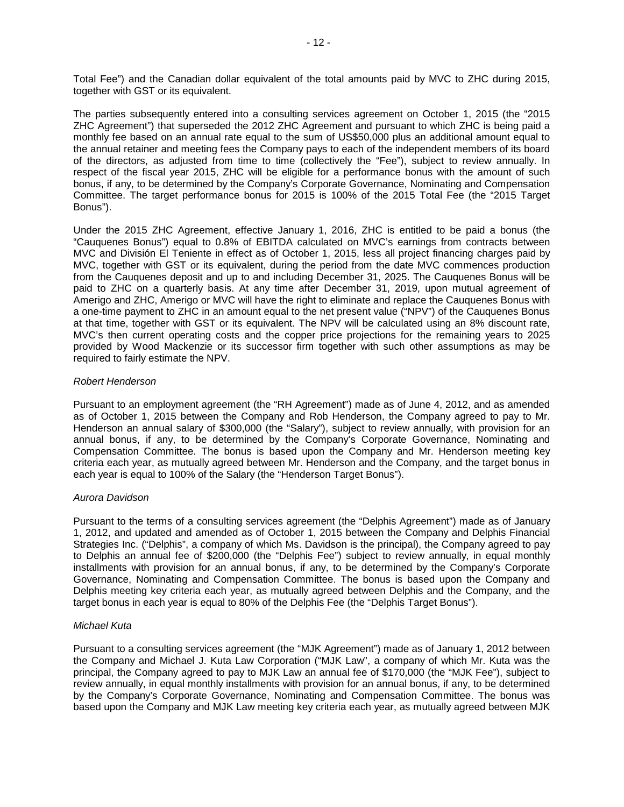Total Fee") and the Canadian dollar equivalent of the total amounts paid by MVC to ZHC during 2015, together with GST or its equivalent.

The parties subsequently entered into a consulting services agreement on October 1, 2015 (the "2015 ZHC Agreement") that superseded the 2012 ZHC Agreement and pursuant to which ZHC is being paid a monthly fee based on an annual rate equal to the sum of US\$50,000 plus an additional amount equal to the annual retainer and meeting fees the Company pays to each of the independent members of its board of the directors, as adjusted from time to time (collectively the "Fee"), subject to review annually. In respect of the fiscal year 2015, ZHC will be eligible for a performance bonus with the amount of such bonus, if any, to be determined by the Company's Corporate Governance, Nominating and Compensation Committee. The target performance bonus for 2015 is 100% of the 2015 Total Fee (the "2015 Target Bonus").

Under the 2015 ZHC Agreement, effective January 1, 2016, ZHC is entitled to be paid a bonus (the "Cauquenes Bonus") equal to 0.8% of EBITDA calculated on MVC's earnings from contracts between MVC and División El Teniente in effect as of October 1, 2015, less all project financing charges paid by MVC, together with GST or its equivalent, during the period from the date MVC commences production from the Cauquenes deposit and up to and including December 31, 2025. The Cauquenes Bonus will be paid to ZHC on a quarterly basis. At any time after December 31, 2019, upon mutual agreement of Amerigo and ZHC, Amerigo or MVC will have the right to eliminate and replace the Cauquenes Bonus with a one-time payment to ZHC in an amount equal to the net present value ("NPV") of the Cauquenes Bonus at that time, together with GST or its equivalent. The NPV will be calculated using an 8% discount rate, MVC's then current operating costs and the copper price projections for the remaining years to 2025 provided by Wood Mackenzie or its successor firm together with such other assumptions as may be required to fairly estimate the NPV.

## *Robert Henderson*

Pursuant to an employment agreement (the "RH Agreement") made as of June 4, 2012, and as amended as of October 1, 2015 between the Company and Rob Henderson, the Company agreed to pay to Mr. Henderson an annual salary of \$300,000 (the "Salary"), subject to review annually, with provision for an annual bonus, if any, to be determined by the Company's Corporate Governance, Nominating and Compensation Committee. The bonus is based upon the Company and Mr. Henderson meeting key criteria each year, as mutually agreed between Mr. Henderson and the Company, and the target bonus in each year is equal to 100% of the Salary (the "Henderson Target Bonus").

## *Aurora Davidson*

Pursuant to the terms of a consulting services agreement (the "Delphis Agreement") made as of January 1, 2012, and updated and amended as of October 1, 2015 between the Company and Delphis Financial Strategies Inc. ("Delphis", a company of which Ms. Davidson is the principal), the Company agreed to pay to Delphis an annual fee of \$200,000 (the "Delphis Fee") subject to review annually, in equal monthly installments with provision for an annual bonus, if any, to be determined by the Company's Corporate Governance, Nominating and Compensation Committee. The bonus is based upon the Company and Delphis meeting key criteria each year, as mutually agreed between Delphis and the Company, and the target bonus in each year is equal to 80% of the Delphis Fee (the "Delphis Target Bonus").

## *Michael Kuta*

Pursuant to a consulting services agreement (the "MJK Agreement") made as of January 1, 2012 between the Company and Michael J. Kuta Law Corporation ("MJK Law", a company of which Mr. Kuta was the principal, the Company agreed to pay to MJK Law an annual fee of \$170,000 (the "MJK Fee"), subject to review annually, in equal monthly installments with provision for an annual bonus, if any, to be determined by the Company's Corporate Governance, Nominating and Compensation Committee. The bonus was based upon the Company and MJK Law meeting key criteria each year, as mutually agreed between MJK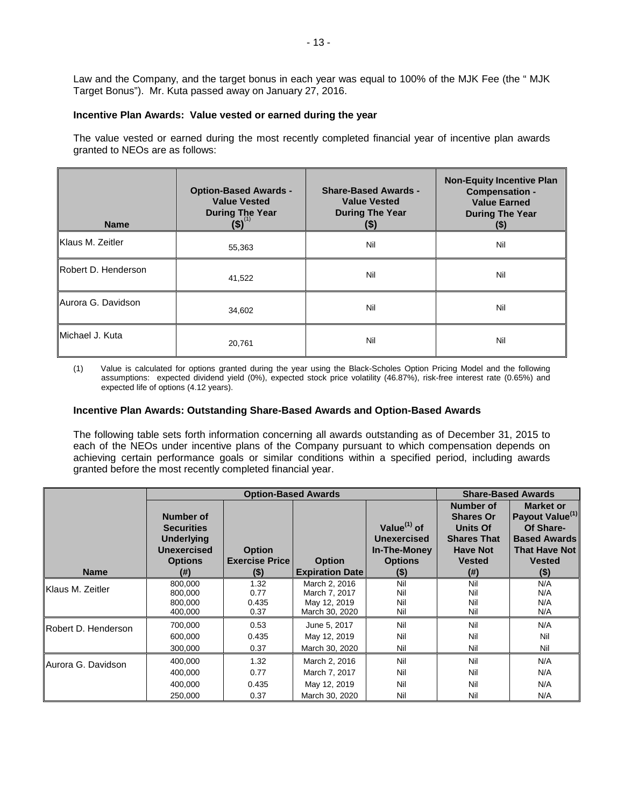Law and the Company, and the target bonus in each year was equal to 100% of the MJK Fee (the " MJK Target Bonus"). Mr. Kuta passed away on January 27, 2016.

## **Incentive Plan Awards: Value vested or earned during the year**

The value vested or earned during the most recently completed financial year of incentive plan awards granted to NEOs are as follows:

| <b>Name</b>                  | <b>Option-Based Awards -</b><br><b>Value Vested</b><br><b>During The Year</b><br>$(5)^{(1)}$ | <b>Share-Based Awards -</b><br><b>Value Vested</b><br><b>During The Year</b><br>(\$) | <b>Non-Equity Incentive Plan</b><br><b>Compensation -</b><br><b>Value Earned</b><br><b>During The Year</b><br>(\$) |
|------------------------------|----------------------------------------------------------------------------------------------|--------------------------------------------------------------------------------------|--------------------------------------------------------------------------------------------------------------------|
| Klaus M. Zeitler             | 55,363                                                                                       | Nil                                                                                  | Nil                                                                                                                |
| Robert D. Henderson          | 41,522                                                                                       | Nil                                                                                  | Nil                                                                                                                |
| Aurora G. Davidson<br>34,602 |                                                                                              | Nil                                                                                  | Nil                                                                                                                |
| Michael J. Kuta              | 20,761                                                                                       | Nil                                                                                  | Nil                                                                                                                |

(1) Value is calculated for options granted during the year using the Black-Scholes Option Pricing Model and the following assumptions: expected dividend yield (0%), expected stock price volatility (46.87%), risk-free interest rate (0.65%) and expected life of options (4.12 years).

## **Incentive Plan Awards: Outstanding Share-Based Awards and Option-Based Awards**

The following table sets forth information concerning all awards outstanding as of December 31, 2015 to each of the NEOs under incentive plans of the Company pursuant to which compensation depends on achieving certain performance goals or similar conditions within a specified period, including awards granted before the most recently completed financial year.

|                          | <b>Option-Based Awards</b>               |                               |                                                                  |                                      |                                       | <b>Share-Based Awards</b>                       |
|--------------------------|------------------------------------------|-------------------------------|------------------------------------------------------------------|--------------------------------------|---------------------------------------|-------------------------------------------------|
|                          | Number of                                |                               |                                                                  |                                      | <b>Number of</b><br><b>Shares Or</b>  | <b>Market or</b><br>Payout Value <sup>(1)</sup> |
|                          | <b>Securities</b><br><b>Underlying</b>   |                               |                                                                  | Value $(1)$ of<br><b>Unexercised</b> | <b>Units Of</b><br><b>Shares That</b> | Of Share-<br><b>Based Awards</b>                |
|                          | <b>Unexercised</b>                       | <b>Option</b>                 |                                                                  | In-The-Money                         | <b>Have Not</b>                       | <b>That Have Not</b>                            |
|                          | <b>Options</b>                           | <b>Exercise Price</b>         | <b>Option</b>                                                    | <b>Options</b>                       | <b>Vested</b>                         | <b>Vested</b>                                   |
| <b>Name</b>              | (#)                                      | $($ \$)                       | <b>Expiration Date</b>                                           | $(\$)$                               | $($ # $)$                             | $($ \$)                                         |
| <b>IKlaus M. Zeitler</b> | 800,000<br>800,000<br>800,000<br>400,000 | 1.32<br>0.77<br>0.435<br>0.37 | March 2, 2016<br>March 7, 2017<br>May 12, 2019<br>March 30, 2020 | Nil<br>Nil<br>Nil<br>Nil             | Nil<br>Nil<br>Nil<br>Nil              | N/A<br>N/A<br>N/A<br>N/A                        |
| Robert D. Henderson      | 700,000<br>600,000<br>300.000            | 0.53<br>0.435<br>0.37         | June 5, 2017<br>May 12, 2019<br>March 30, 2020                   | Nil<br>Nil<br>Nil                    | Nil<br>Nil<br>Nil                     | N/A<br>Nil<br>Nil                               |
| Aurora G. Davidson       | 400,000<br>400,000<br>400,000            | 1.32<br>0.77<br>0.435         | March 2, 2016<br>March 7, 2017<br>May 12, 2019                   | Nil<br>Nil<br>Nil                    | Nil<br>Nil<br>Nil                     | N/A<br>N/A<br>N/A                               |
|                          | 250,000                                  | 0.37                          | March 30, 2020                                                   | Nil                                  | Nil                                   | N/A                                             |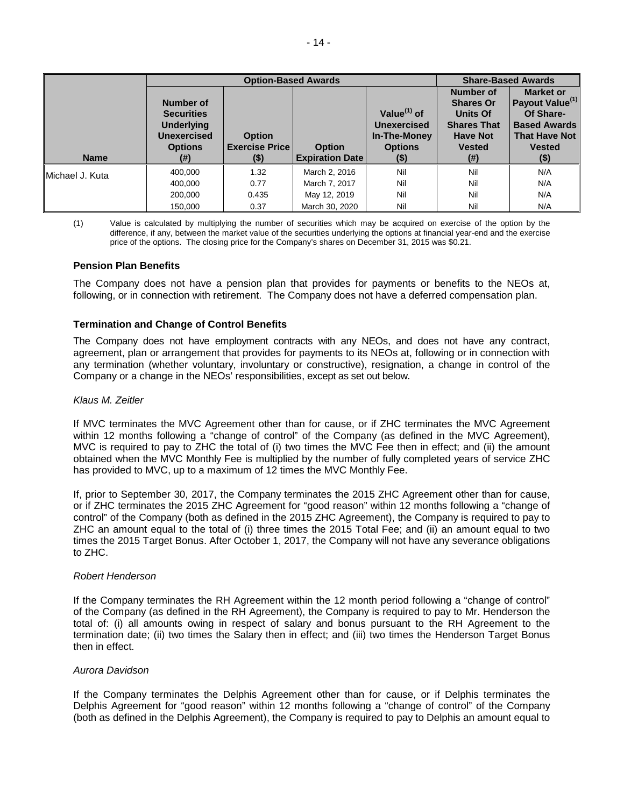|                  | <b>Option-Based Awards</b>                                                                         |                                                |                                         |                                                                                  | <b>Share-Based Awards</b>                                                                                          |                                                                                                                                  |  |
|------------------|----------------------------------------------------------------------------------------------------|------------------------------------------------|-----------------------------------------|----------------------------------------------------------------------------------|--------------------------------------------------------------------------------------------------------------------|----------------------------------------------------------------------------------------------------------------------------------|--|
| <b>Name</b>      | Number of<br><b>Securities</b><br><b>Underlying</b><br><b>Unexercised</b><br><b>Options</b><br>(#) | <b>Option</b><br><b>Exercise Price</b><br>(\$) | <b>Option</b><br><b>Expiration Date</b> | Value $(1)$ of<br><b>Unexercised</b><br>In-The-Money<br><b>Options</b><br>$(\$)$ | Number of<br><b>Shares Or</b><br><b>Units Of</b><br><b>Shares That</b><br><b>Have Not</b><br><b>Vested</b><br>(# ) | <b>Market or</b><br>Payout Value <sup>(1)</sup><br>Of Share-<br><b>Based Awards</b><br>That Have Not<br><b>Vested</b><br>$($ \$) |  |
|                  | 400,000                                                                                            | 1.32                                           | March 2, 2016                           | Nil                                                                              | Nil                                                                                                                | N/A                                                                                                                              |  |
| IMichael J. Kuta | 400.000                                                                                            | 0.77                                           | March 7, 2017                           | Nil                                                                              | Nil                                                                                                                | N/A                                                                                                                              |  |
|                  | 200.000                                                                                            | 0.435                                          | May 12, 2019                            | Nil                                                                              | Nil                                                                                                                | N/A                                                                                                                              |  |
|                  | 150,000                                                                                            | 0.37                                           | March 30, 2020                          | Nil                                                                              | Nil                                                                                                                | N/A                                                                                                                              |  |

(1) Value is calculated by multiplying the number of securities which may be acquired on exercise of the option by the difference, if any, between the market value of the securities underlying the options at financial year-end and the exercise price of the options. The closing price for the Company's shares on December 31, 2015 was \$0.21.

#### **Pension Plan Benefits**

The Company does not have a pension plan that provides for payments or benefits to the NEOs at, following, or in connection with retirement. The Company does not have a deferred compensation plan.

#### **Termination and Change of Control Benefits**

The Company does not have employment contracts with any NEOs, and does not have any contract, agreement, plan or arrangement that provides for payments to its NEOs at, following or in connection with any termination (whether voluntary, involuntary or constructive), resignation, a change in control of the Company or a change in the NEOs' responsibilities, except as set out below.

#### *Klaus M. Zeitler*

If MVC terminates the MVC Agreement other than for cause, or if ZHC terminates the MVC Agreement within 12 months following a "change of control" of the Company (as defined in the MVC Agreement), MVC is required to pay to ZHC the total of (i) two times the MVC Fee then in effect; and (ii) the amount obtained when the MVC Monthly Fee is multiplied by the number of fully completed years of service ZHC has provided to MVC, up to a maximum of 12 times the MVC Monthly Fee.

If, prior to September 30, 2017, the Company terminates the 2015 ZHC Agreement other than for cause, or if ZHC terminates the 2015 ZHC Agreement for "good reason" within 12 months following a "change of control" of the Company (both as defined in the 2015 ZHC Agreement), the Company is required to pay to ZHC an amount equal to the total of (i) three times the 2015 Total Fee; and (ii) an amount equal to two times the 2015 Target Bonus. After October 1, 2017, the Company will not have any severance obligations to ZHC.

#### *Robert Henderson*

If the Company terminates the RH Agreement within the 12 month period following a "change of control" of the Company (as defined in the RH Agreement), the Company is required to pay to Mr. Henderson the total of: (i) all amounts owing in respect of salary and bonus pursuant to the RH Agreement to the termination date; (ii) two times the Salary then in effect; and (iii) two times the Henderson Target Bonus then in effect.

#### *Aurora Davidson*

If the Company terminates the Delphis Agreement other than for cause, or if Delphis terminates the Delphis Agreement for "good reason" within 12 months following a "change of control" of the Company (both as defined in the Delphis Agreement), the Company is required to pay to Delphis an amount equal to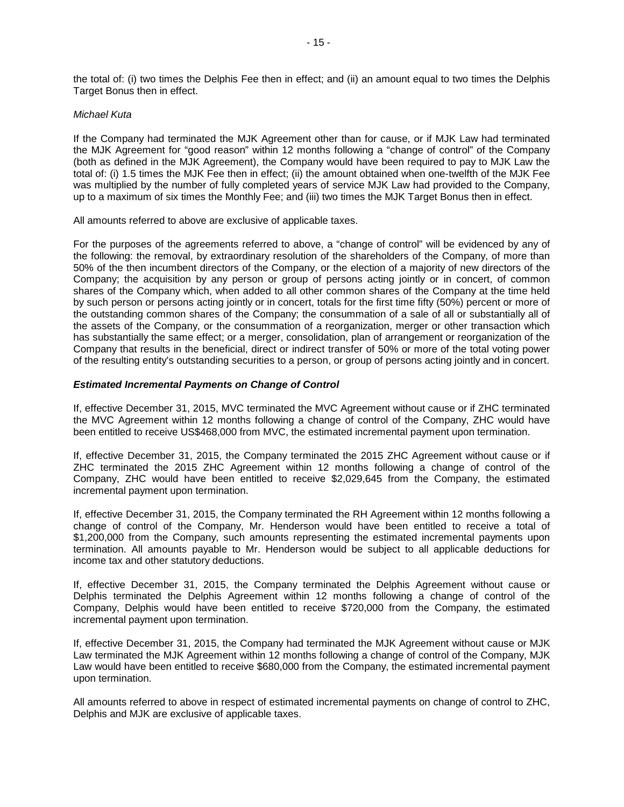the total of: (i) two times the Delphis Fee then in effect; and (ii) an amount equal to two times the Delphis Target Bonus then in effect.

#### *Michael Kuta*

If the Company had terminated the MJK Agreement other than for cause, or if MJK Law had terminated the MJK Agreement for "good reason" within 12 months following a "change of control" of the Company (both as defined in the MJK Agreement), the Company would have been required to pay to MJK Law the total of: (i) 1.5 times the MJK Fee then in effect; (ii) the amount obtained when one-twelfth of the MJK Fee was multiplied by the number of fully completed years of service MJK Law had provided to the Company, up to a maximum of six times the Monthly Fee; and (iii) two times the MJK Target Bonus then in effect.

All amounts referred to above are exclusive of applicable taxes.

For the purposes of the agreements referred to above, a "change of control" will be evidenced by any of the following: the removal, by extraordinary resolution of the shareholders of the Company, of more than 50% of the then incumbent directors of the Company, or the election of a majority of new directors of the Company; the acquisition by any person or group of persons acting jointly or in concert, of common shares of the Company which, when added to all other common shares of the Company at the time held by such person or persons acting jointly or in concert, totals for the first time fifty (50%) percent or more of the outstanding common shares of the Company; the consummation of a sale of all or substantially all of the assets of the Company, or the consummation of a reorganization, merger or other transaction which has substantially the same effect; or a merger, consolidation, plan of arrangement or reorganization of the Company that results in the beneficial, direct or indirect transfer of 50% or more of the total voting power of the resulting entity's outstanding securities to a person, or group of persons acting jointly and in concert.

## *Estimated Incremental Payments on Change of Control*

If, effective December 31, 2015, MVC terminated the MVC Agreement without cause or if ZHC terminated the MVC Agreement within 12 months following a change of control of the Company, ZHC would have been entitled to receive US\$468,000 from MVC, the estimated incremental payment upon termination.

If, effective December 31, 2015, the Company terminated the 2015 ZHC Agreement without cause or if ZHC terminated the 2015 ZHC Agreement within 12 months following a change of control of the Company, ZHC would have been entitled to receive \$2,029,645 from the Company, the estimated incremental payment upon termination.

If, effective December 31, 2015, the Company terminated the RH Agreement within 12 months following a change of control of the Company, Mr. Henderson would have been entitled to receive a total of \$1,200,000 from the Company, such amounts representing the estimated incremental payments upon termination. All amounts payable to Mr. Henderson would be subject to all applicable deductions for income tax and other statutory deductions.

If, effective December 31, 2015, the Company terminated the Delphis Agreement without cause or Delphis terminated the Delphis Agreement within 12 months following a change of control of the Company, Delphis would have been entitled to receive \$720,000 from the Company, the estimated incremental payment upon termination.

If, effective December 31, 2015, the Company had terminated the MJK Agreement without cause or MJK Law terminated the MJK Agreement within 12 months following a change of control of the Company, MJK Law would have been entitled to receive \$680,000 from the Company, the estimated incremental payment upon termination.

All amounts referred to above in respect of estimated incremental payments on change of control to ZHC, Delphis and MJK are exclusive of applicable taxes.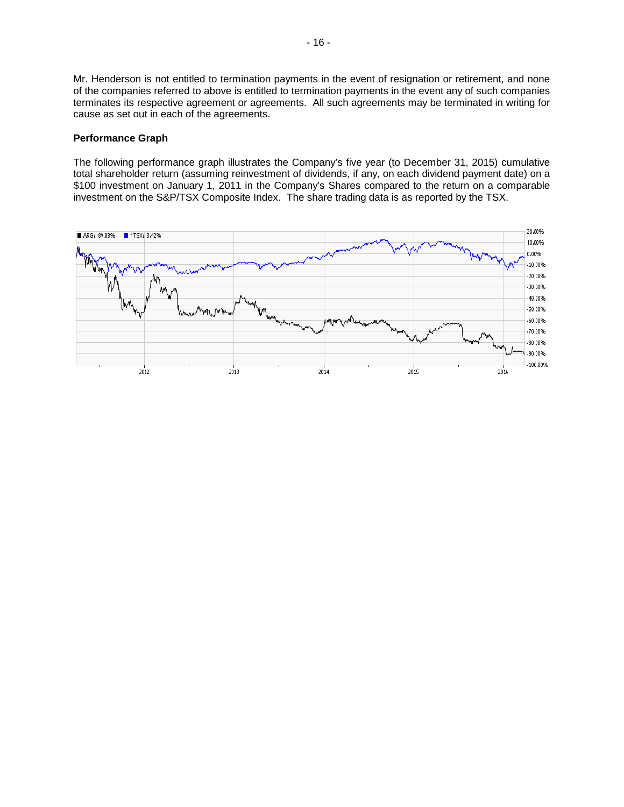Mr. Henderson is not entitled to termination payments in the event of resignation or retirement, and none of the companies referred to above is entitled to termination payments in the event any of such companies terminates its respective agreement or agreements. All such agreements may be terminated in writing for cause as set out in each of the agreements.

## **Performance Graph**

The following performance graph illustrates the Company's five year (to December 31, 2015) cumulative total shareholder return (assuming reinvestment of dividends, if any, on each dividend payment date) on a \$100 investment on January 1, 2011 in the Company's Shares compared to the return on a comparable investment on the S&P/TSX Composite Index. The share trading data is as reported by the TSX.

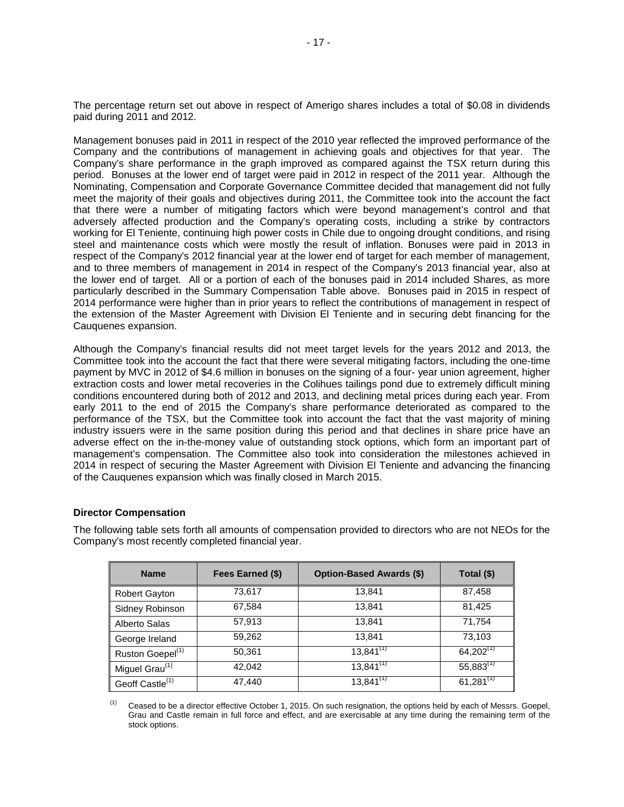The percentage return set out above in respect of Amerigo shares includes a total of \$0.08 in dividends paid during 2011 and 2012.

Management bonuses paid in 2011 in respect of the 2010 year reflected the improved performance of the Company and the contributions of management in achieving goals and objectives for that year. The Company's share performance in the graph improved as compared against the TSX return during this period. Bonuses at the lower end of target were paid in 2012 in respect of the 2011 year. Although the Nominating, Compensation and Corporate Governance Committee decided that management did not fully meet the majority of their goals and objectives during 2011, the Committee took into the account the fact that there were a number of mitigating factors which were beyond management's control and that adversely affected production and the Company's operating costs, including a strike by contractors working for El Teniente, continuing high power costs in Chile due to ongoing drought conditions, and rising steel and maintenance costs which were mostly the result of inflation. Bonuses were paid in 2013 in respect of the Company's 2012 financial year at the lower end of target for each member of management, and to three members of management in 2014 in respect of the Company's 2013 financial year, also at the lower end of target. All or a portion of each of the bonuses paid in 2014 included Shares, as more particularly described in the Summary Compensation Table above. Bonuses paid in 2015 in respect of 2014 performance were higher than in prior years to reflect the contributions of management in respect of the extension of the Master Agreement with Division El Teniente and in securing debt financing for the Cauquenes expansion.

Although the Company's financial results did not meet target levels for the years 2012 and 2013, the Committee took into the account the fact that there were several mitigating factors, including the one-time payment by MVC in 2012 of \$4.6 million in bonuses on the signing of a four- year union agreement, higher extraction costs and lower metal recoveries in the Colihues tailings pond due to extremely difficult mining conditions encountered during both of 2012 and 2013, and declining metal prices during each year. From early 2011 to the end of 2015 the Company's share performance deteriorated as compared to the performance of the TSX, but the Committee took into account the fact that the vast majority of mining industry issuers were in the same position during this period and that declines in share price have an adverse effect on the in-the-money value of outstanding stock options, which form an important part of management's compensation. The Committee also took into consideration the milestones achieved in 2014 in respect of securing the Master Agreement with Division El Teniente and advancing the financing of the Cauquenes expansion which was finally closed in March 2015.

## **Director Compensation**

The following table sets forth all amounts of compensation provided to directors who are not NEOs for the Company's most recently completed financial year.

| <b>Name</b>                  | Fees Earned (\$) | <b>Option-Based Awards (\$)</b> | Total (\$)     |
|------------------------------|------------------|---------------------------------|----------------|
| <b>Robert Gayton</b>         | 73,617           | 13.841                          | 87,458         |
| Sidney Robinson              | 67,584           | 13.841                          | 81,425         |
| Alberto Salas                | 57.913           | 13.841                          | 71,754         |
| George Ireland               | 59,262           | 13.841                          | 73,103         |
| Ruston Goepel <sup>(1)</sup> | 50,361           | $13,841^{(1)}$                  | $64,202^{(1)}$ |
| Miguel Grau <sup>(1)</sup>   | 42,042           | $13,841^{(1)}$                  | $55,883^{(1)}$ |
| Geoff Castle <sup>(1)</sup>  | 47,440           | $13,841^{(1)}$                  | $61,281^{(1)}$ |

 $(1)$  Ceased to be a director effective October 1, 2015. On such resignation, the options held by each of Messrs. Goepel, Grau and Castle remain in full force and effect, and are exercisable at any time during the remaining term of the stock options.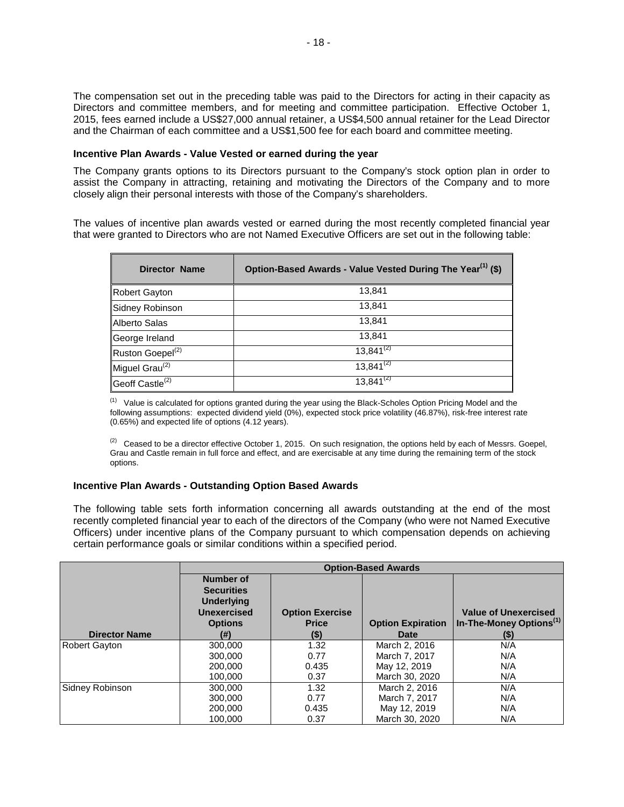The compensation set out in the preceding table was paid to the Directors for acting in their capacity as Directors and committee members, and for meeting and committee participation. Effective October 1, 2015, fees earned include a US\$27,000 annual retainer, a US\$4,500 annual retainer for the Lead Director and the Chairman of each committee and a US\$1,500 fee for each board and committee meeting.

### **Incentive Plan Awards - Value Vested or earned during the year**

The Company grants options to its Directors pursuant to the Company's stock option plan in order to assist the Company in attracting, retaining and motivating the Directors of the Company and to more closely align their personal interests with those of the Company's shareholders.

The values of incentive plan awards vested or earned during the most recently completed financial year that were granted to Directors who are not Named Executive Officers are set out in the following table:

| <b>Director Name</b>         | Option-Based Awards - Value Vested During The Year <sup>(1)</sup> (\$) |
|------------------------------|------------------------------------------------------------------------|
| Robert Gayton                | 13,841                                                                 |
| Sidney Robinson              | 13,841                                                                 |
| Alberto Salas                | 13,841                                                                 |
| George Ireland               | 13,841                                                                 |
| Ruston Goepel <sup>(2)</sup> | $13,841^{(2)}$                                                         |
| Miguel Grau <sup>(2)</sup>   | $13,841^{(2)}$                                                         |
| Geoff Castle <sup>(2)</sup>  | $13,841^{(2)}$                                                         |

 $(1)$  Value is calculated for options granted during the year using the Black-Scholes Option Pricing Model and the following assumptions: expected dividend yield (0%), expected stock price volatility (46.87%), risk-free interest rate (0.65%) and expected life of options (4.12 years).

 $(2)$  Ceased to be a director effective October 1, 2015. On such resignation, the options held by each of Messrs. Goepel, Grau and Castle remain in full force and effect, and are exercisable at any time during the remaining term of the stock options.

## **Incentive Plan Awards - Outstanding Option Based Awards**

The following table sets forth information concerning all awards outstanding at the end of the most recently completed financial year to each of the directors of the Company (who were not Named Executive Officers) under incentive plans of the Company pursuant to which compensation depends on achieving certain performance goals or similar conditions within a specified period.

|                      | <b>Option-Based Awards</b>                                                                         |                                        |                          |                                                                    |  |  |  |
|----------------------|----------------------------------------------------------------------------------------------------|----------------------------------------|--------------------------|--------------------------------------------------------------------|--|--|--|
|                      | <b>Number of</b><br><b>Securities</b><br><b>Underlying</b><br><b>Unexercised</b><br><b>Options</b> | <b>Option Exercise</b><br><b>Price</b> | <b>Option Expiration</b> | <b>Value of Unexercised</b><br>In-The-Money Options <sup>(1)</sup> |  |  |  |
| <b>Director Name</b> | (#)                                                                                                | $(\$)$                                 | <b>Date</b>              | $($ \$)                                                            |  |  |  |
| <b>Robert Gayton</b> | 300,000                                                                                            | 1.32                                   | March 2, 2016            | N/A                                                                |  |  |  |
|                      | 300,000                                                                                            | 0.77                                   | March 7, 2017            | N/A                                                                |  |  |  |
|                      | 200.000                                                                                            | 0.435                                  | May 12, 2019             | N/A                                                                |  |  |  |
|                      | 100.000                                                                                            | 0.37                                   | March 30, 2020           | N/A                                                                |  |  |  |
| Sidney Robinson      | 300,000                                                                                            | 1.32                                   | March 2, 2016            | N/A                                                                |  |  |  |
|                      | 300,000                                                                                            | 0.77                                   | March 7, 2017            | N/A                                                                |  |  |  |
|                      | 200,000                                                                                            | 0.435                                  | May 12, 2019             | N/A                                                                |  |  |  |
|                      | 100.000                                                                                            | 0.37                                   | March 30, 2020           | N/A                                                                |  |  |  |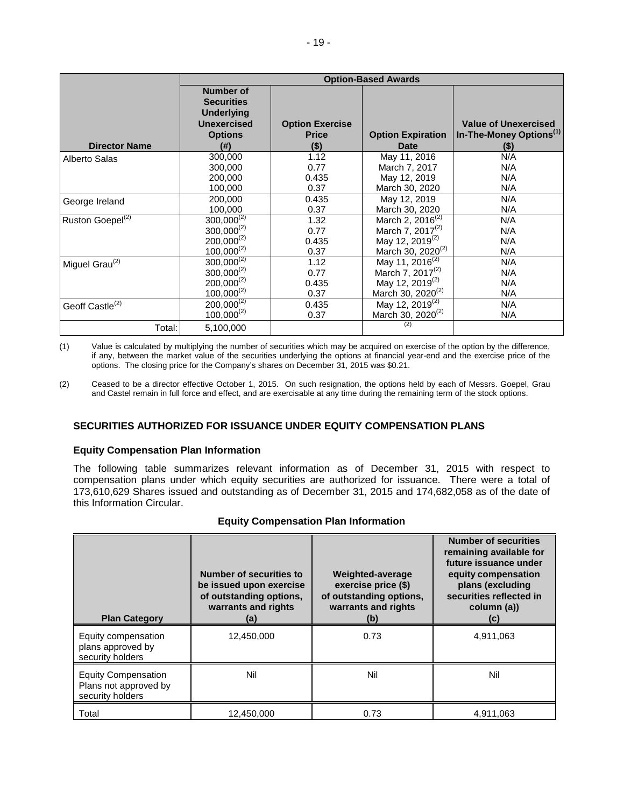|                              | <b>Option-Based Awards</b>                                                                                 |                                                   |                                         |                                                                              |  |  |
|------------------------------|------------------------------------------------------------------------------------------------------------|---------------------------------------------------|-----------------------------------------|------------------------------------------------------------------------------|--|--|
| <b>Director Name</b>         | <b>Number of</b><br><b>Securities</b><br><b>Underlying</b><br><b>Unexercised</b><br><b>Options</b><br>(# ) | <b>Option Exercise</b><br><b>Price</b><br>$($ \$) | <b>Option Expiration</b><br><b>Date</b> | <b>Value of Unexercised</b><br>In-The-Money Options <sup>(1)</sup><br>$(\$)$ |  |  |
| Alberto Salas                | 300,000                                                                                                    | 1.12                                              | May 11, 2016                            | N/A                                                                          |  |  |
|                              | 300,000                                                                                                    | 0.77                                              | March 7, 2017                           | N/A                                                                          |  |  |
|                              | 200,000                                                                                                    | 0.435                                             | May 12, 2019                            | N/A                                                                          |  |  |
|                              | 100,000                                                                                                    | 0.37                                              | March 30, 2020                          | N/A                                                                          |  |  |
| George Ireland               | 200.000                                                                                                    | 0.435                                             | May 12, 2019                            | N/A                                                                          |  |  |
|                              | 100,000                                                                                                    | 0.37                                              | March 30, 2020                          | N/A                                                                          |  |  |
| Ruston Goepel <sup>(2)</sup> | $300,000^{(2)}$                                                                                            | 1.32                                              | March 2, 2016 <sup>(2)</sup>            | N/A                                                                          |  |  |
|                              | $300,000^{(2)}$                                                                                            | 0.77                                              | March 7, 2017 <sup>(2)</sup>            | N/A                                                                          |  |  |
|                              | $200,000^{(2)}$                                                                                            | 0.435                                             | May 12, 2019 <sup>(2)</sup>             | N/A                                                                          |  |  |
|                              | $100,000^{(2)}$                                                                                            | 0.37                                              | March 30, 2020 <sup>(2)</sup>           | N/A                                                                          |  |  |
| Miguel Grau $(2)$            | $300,000^{(2)}$                                                                                            | 1.12                                              | May 11, 2016 <sup>(2)</sup>             | N/A                                                                          |  |  |
|                              | $300,000^{(2)}$                                                                                            | 0.77                                              | March 7, 2017 <sup>(2)</sup>            | N/A                                                                          |  |  |
|                              | $200,000^{(2)}$                                                                                            | 0.435                                             | May 12, 2019 <sup>(2)</sup>             | N/A                                                                          |  |  |
|                              | $100,000^{(2)}$                                                                                            | 0.37                                              | March 30, 2020 <sup>(2)</sup>           | N/A                                                                          |  |  |
| Geoff Castle <sup>(2)</sup>  | $200,000^{(2)}$                                                                                            | 0.435                                             | May 12, 2019 <sup>(2)</sup>             | N/A                                                                          |  |  |
|                              | $100,000^{(2)}$                                                                                            | 0.37                                              | March 30, 2020 <sup>(2)</sup>           | N/A                                                                          |  |  |
| Total:                       | 5,100,000                                                                                                  |                                                   | (2)                                     |                                                                              |  |  |

(1) Value is calculated by multiplying the number of securities which may be acquired on exercise of the option by the difference, if any, between the market value of the securities underlying the options at financial year-end and the exercise price of the options. The closing price for the Company's shares on December 31, 2015 was \$0.21.

(2) Ceased to be a director effective October 1, 2015. On such resignation, the options held by each of Messrs. Goepel, Grau and Castel remain in full force and effect, and are exercisable at any time during the remaining term of the stock options.

## **SECURITIES AUTHORIZED FOR ISSUANCE UNDER EQUITY COMPENSATION PLANS**

## **Equity Compensation Plan Information**

The following table summarizes relevant information as of December 31, 2015 with respect to compensation plans under which equity securities are authorized for issuance. There were a total of 173,610,629 Shares issued and outstanding as of December 31, 2015 and 174,682,058 as of the date of this Information Circular.

|  | <b>Equity Compensation Plan Information</b> |  |  |
|--|---------------------------------------------|--|--|
|--|---------------------------------------------|--|--|

| <b>Plan Category</b>                                                    | <b>Number of securities to</b><br>be issued upon exercise<br>of outstanding options,<br>warrants and rights<br>(a) | <b>Weighted-average</b><br>exercise price (\$)<br>of outstanding options,<br>warrants and rights<br>(b) | <b>Number of securities</b><br>remaining available for<br>future issuance under<br>equity compensation<br>plans (excluding<br>securities reflected in<br>column (a))<br>(c) |
|-------------------------------------------------------------------------|--------------------------------------------------------------------------------------------------------------------|---------------------------------------------------------------------------------------------------------|-----------------------------------------------------------------------------------------------------------------------------------------------------------------------------|
| Equity compensation<br>plans approved by<br>security holders            | 12,450,000                                                                                                         | 0.73                                                                                                    | 4,911,063                                                                                                                                                                   |
| <b>Equity Compensation</b><br>Plans not approved by<br>security holders | Nil                                                                                                                | Nil                                                                                                     | Nil                                                                                                                                                                         |
| Total                                                                   | 12.450.000                                                                                                         | 0.73                                                                                                    | 4,911,063                                                                                                                                                                   |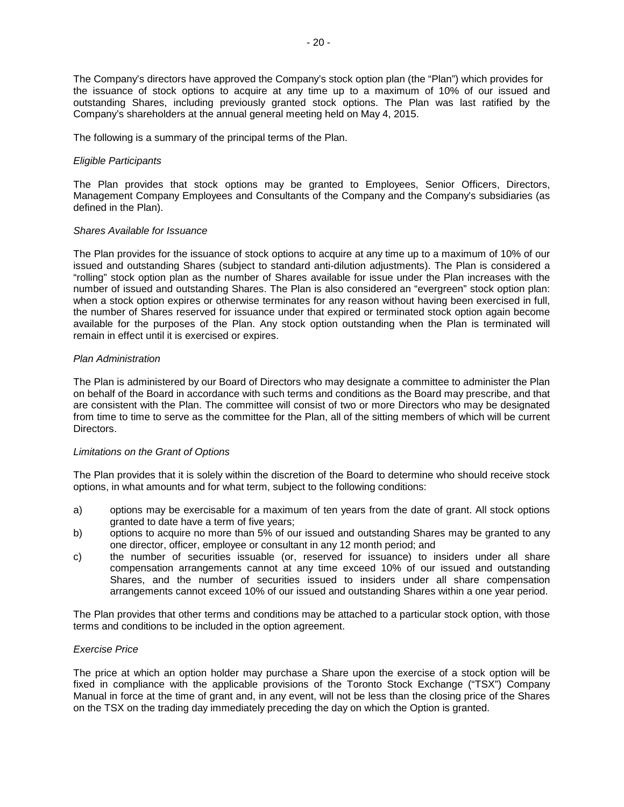The Company's directors have approved the Company's stock option plan (the "Plan") which provides for the issuance of stock options to acquire at any time up to a maximum of 10% of our issued and outstanding Shares, including previously granted stock options. The Plan was last ratified by the Company's shareholders at the annual general meeting held on May 4, 2015.

The following is a summary of the principal terms of the Plan.

#### *Eligible Participants*

The Plan provides that stock options may be granted to Employees, Senior Officers, Directors, Management Company Employees and Consultants of the Company and the Company's subsidiaries (as defined in the Plan).

#### *Shares Available for Issuance*

The Plan provides for the issuance of stock options to acquire at any time up to a maximum of 10% of our issued and outstanding Shares (subject to standard anti-dilution adjustments). The Plan is considered a "rolling" stock option plan as the number of Shares available for issue under the Plan increases with the number of issued and outstanding Shares. The Plan is also considered an "evergreen" stock option plan: when a stock option expires or otherwise terminates for any reason without having been exercised in full, the number of Shares reserved for issuance under that expired or terminated stock option again become available for the purposes of the Plan. Any stock option outstanding when the Plan is terminated will remain in effect until it is exercised or expires.

#### *Plan Administration*

The Plan is administered by our Board of Directors who may designate a committee to administer the Plan on behalf of the Board in accordance with such terms and conditions as the Board may prescribe, and that are consistent with the Plan. The committee will consist of two or more Directors who may be designated from time to time to serve as the committee for the Plan, all of the sitting members of which will be current **Directors** 

#### *Limitations on the Grant of Options*

The Plan provides that it is solely within the discretion of the Board to determine who should receive stock options, in what amounts and for what term, subject to the following conditions:

- a) options may be exercisable for a maximum of ten years from the date of grant. All stock options granted to date have a term of five years;
- b) options to acquire no more than 5% of our issued and outstanding Shares may be granted to any one director, officer, employee or consultant in any 12 month period; and
- c) the number of securities issuable (or, reserved for issuance) to insiders under all share compensation arrangements cannot at any time exceed 10% of our issued and outstanding Shares, and the number of securities issued to insiders under all share compensation arrangements cannot exceed 10% of our issued and outstanding Shares within a one year period.

The Plan provides that other terms and conditions may be attached to a particular stock option, with those terms and conditions to be included in the option agreement.

## *Exercise Price*

The price at which an option holder may purchase a Share upon the exercise of a stock option will be fixed in compliance with the applicable provisions of the Toronto Stock Exchange ("TSX") Company Manual in force at the time of grant and, in any event, will not be less than the closing price of the Shares on the TSX on the trading day immediately preceding the day on which the Option is granted.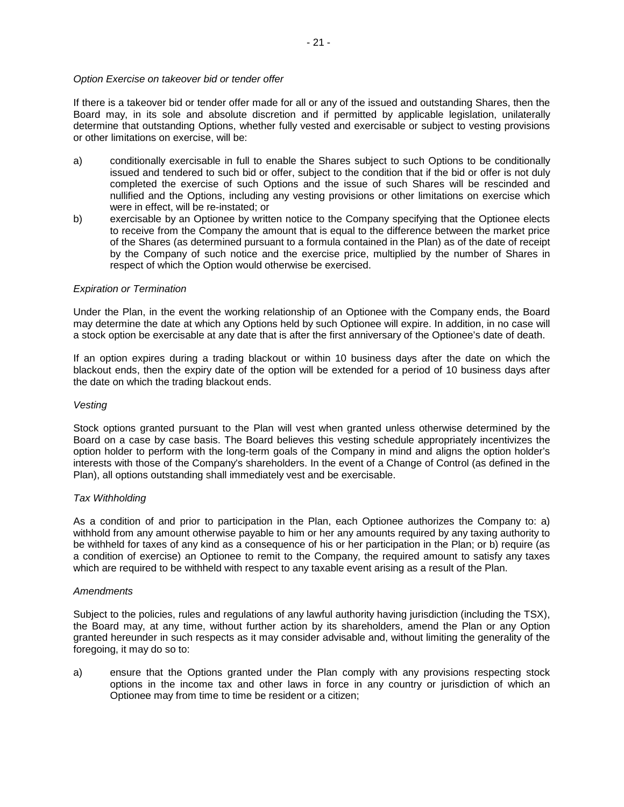## *Option Exercise on takeover bid or tender offer*

If there is a takeover bid or tender offer made for all or any of the issued and outstanding Shares, then the Board may, in its sole and absolute discretion and if permitted by applicable legislation, unilaterally determine that outstanding Options, whether fully vested and exercisable or subject to vesting provisions or other limitations on exercise, will be:

- a) conditionally exercisable in full to enable the Shares subject to such Options to be conditionally issued and tendered to such bid or offer, subject to the condition that if the bid or offer is not duly completed the exercise of such Options and the issue of such Shares will be rescinded and nullified and the Options, including any vesting provisions or other limitations on exercise which were in effect, will be re-instated; or
- b) exercisable by an Optionee by written notice to the Company specifying that the Optionee elects to receive from the Company the amount that is equal to the difference between the market price of the Shares (as determined pursuant to a formula contained in the Plan) as of the date of receipt by the Company of such notice and the exercise price, multiplied by the number of Shares in respect of which the Option would otherwise be exercised.

#### *Expiration or Termination*

Under the Plan, in the event the working relationship of an Optionee with the Company ends, the Board may determine the date at which any Options held by such Optionee will expire. In addition, in no case will a stock option be exercisable at any date that is after the first anniversary of the Optionee's date of death.

If an option expires during a trading blackout or within 10 business days after the date on which the blackout ends, then the expiry date of the option will be extended for a period of 10 business days after the date on which the trading blackout ends.

#### *Vesting*

Stock options granted pursuant to the Plan will vest when granted unless otherwise determined by the Board on a case by case basis. The Board believes this vesting schedule appropriately incentivizes the option holder to perform with the long-term goals of the Company in mind and aligns the option holder's interests with those of the Company's shareholders. In the event of a Change of Control (as defined in the Plan), all options outstanding shall immediately vest and be exercisable.

## *Tax Withholding*

As a condition of and prior to participation in the Plan, each Optionee authorizes the Company to: a) withhold from any amount otherwise payable to him or her any amounts required by any taxing authority to be withheld for taxes of any kind as a consequence of his or her participation in the Plan; or b) require (as a condition of exercise) an Optionee to remit to the Company, the required amount to satisfy any taxes which are required to be withheld with respect to any taxable event arising as a result of the Plan.

#### *Amendments*

Subject to the policies, rules and regulations of any lawful authority having jurisdiction (including the TSX), the Board may, at any time, without further action by its shareholders, amend the Plan or any Option granted hereunder in such respects as it may consider advisable and, without limiting the generality of the foregoing, it may do so to:

a) ensure that the Options granted under the Plan comply with any provisions respecting stock options in the income tax and other laws in force in any country or jurisdiction of which an Optionee may from time to time be resident or a citizen;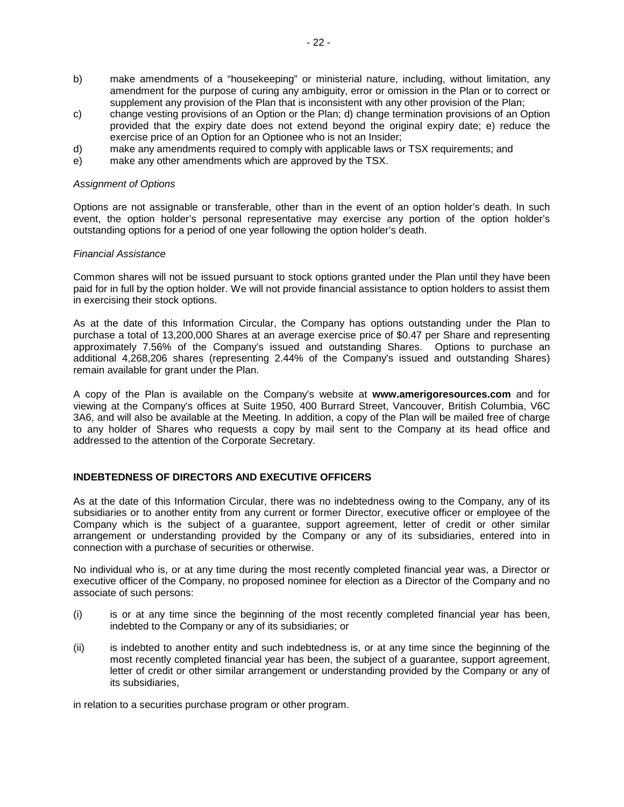- b) make amendments of a "housekeeping" or ministerial nature, including, without limitation, any amendment for the purpose of curing any ambiguity, error or omission in the Plan or to correct or supplement any provision of the Plan that is inconsistent with any other provision of the Plan;
- c) change vesting provisions of an Option or the Plan; d) change termination provisions of an Option provided that the expiry date does not extend beyond the original expiry date; e) reduce the exercise price of an Option for an Optionee who is not an Insider;
- d) make any amendments required to comply with applicable laws or TSX requirements; and
- e) make any other amendments which are approved by the TSX.

#### *Assignment of Options*

Options are not assignable or transferable, other than in the event of an option holder's death. In such event, the option holder's personal representative may exercise any portion of the option holder's outstanding options for a period of one year following the option holder's death.

#### *Financial Assistance*

Common shares will not be issued pursuant to stock options granted under the Plan until they have been paid for in full by the option holder. We will not provide financial assistance to option holders to assist them in exercising their stock options.

As at the date of this Information Circular, the Company has options outstanding under the Plan to purchase a total of 13,200,000 Shares at an average exercise price of \$0.47 per Share and representing approximately 7.56% of the Company's issued and outstanding Shares. Options to purchase an additional 4,268,206 shares (representing 2.44% of the Company's issued and outstanding Shares) remain available for grant under the Plan.

A copy of the Plan is available on the Company's website at **www.amerigoresources.com** and for viewing at the Company's offices at Suite 1950, 400 Burrard Street, Vancouver, British Columbia, V6C 3A6, and will also be available at the Meeting. In addition, a copy of the Plan will be mailed free of charge to any holder of Shares who requests a copy by mail sent to the Company at its head office and addressed to the attention of the Corporate Secretary.

## **INDEBTEDNESS OF DIRECTORS AND EXECUTIVE OFFICERS**

As at the date of this Information Circular, there was no indebtedness owing to the Company, any of its subsidiaries or to another entity from any current or former Director, executive officer or employee of the Company which is the subject of a guarantee, support agreement, letter of credit or other similar arrangement or understanding provided by the Company or any of its subsidiaries, entered into in connection with a purchase of securities or otherwise.

No individual who is, or at any time during the most recently completed financial year was, a Director or executive officer of the Company, no proposed nominee for election as a Director of the Company and no associate of such persons:

- (i) is or at any time since the beginning of the most recently completed financial year has been, indebted to the Company or any of its subsidiaries; or
- (ii) is indebted to another entity and such indebtedness is, or at any time since the beginning of the most recently completed financial year has been, the subject of a guarantee, support agreement, letter of credit or other similar arrangement or understanding provided by the Company or any of its subsidiaries,

in relation to a securities purchase program or other program.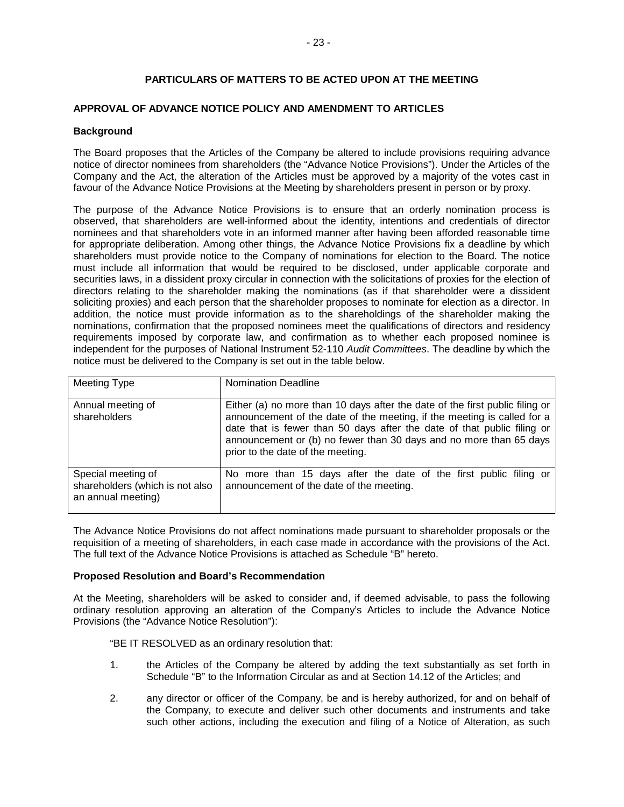## **PARTICULARS OF MATTERS TO BE ACTED UPON AT THE MEETING**

## **APPROVAL OF ADVANCE NOTICE POLICY AND AMENDMENT TO ARTICLES**

#### **Background**

The Board proposes that the Articles of the Company be altered to include provisions requiring advance notice of director nominees from shareholders (the "Advance Notice Provisions"). Under the Articles of the Company and the Act, the alteration of the Articles must be approved by a majority of the votes cast in favour of the Advance Notice Provisions at the Meeting by shareholders present in person or by proxy.

The purpose of the Advance Notice Provisions is to ensure that an orderly nomination process is observed, that shareholders are well-informed about the identity, intentions and credentials of director nominees and that shareholders vote in an informed manner after having been afforded reasonable time for appropriate deliberation. Among other things, the Advance Notice Provisions fix a deadline by which shareholders must provide notice to the Company of nominations for election to the Board. The notice must include all information that would be required to be disclosed, under applicable corporate and securities laws, in a dissident proxy circular in connection with the solicitations of proxies for the election of directors relating to the shareholder making the nominations (as if that shareholder were a dissident soliciting proxies) and each person that the shareholder proposes to nominate for election as a director. In addition, the notice must provide information as to the shareholdings of the shareholder making the nominations, confirmation that the proposed nominees meet the qualifications of directors and residency requirements imposed by corporate law, and confirmation as to whether each proposed nominee is independent for the purposes of National Instrument 52-110 *Audit Committees*. The deadline by which the notice must be delivered to the Company is set out in the table below.

| Meeting Type                                                                | <b>Nomination Deadline</b>                                                                                                                                                                                                                                                                                                                    |
|-----------------------------------------------------------------------------|-----------------------------------------------------------------------------------------------------------------------------------------------------------------------------------------------------------------------------------------------------------------------------------------------------------------------------------------------|
| Annual meeting of<br>shareholders                                           | Either (a) no more than 10 days after the date of the first public filing or<br>announcement of the date of the meeting, if the meeting is called for a<br>date that is fewer than 50 days after the date of that public filing or<br>announcement or (b) no fewer than 30 days and no more than 65 days<br>prior to the date of the meeting. |
| Special meeting of<br>shareholders (which is not also<br>an annual meeting) | No more than 15 days after the date of the first public filing or<br>announcement of the date of the meeting.                                                                                                                                                                                                                                 |

The Advance Notice Provisions do not affect nominations made pursuant to shareholder proposals or the requisition of a meeting of shareholders, in each case made in accordance with the provisions of the Act. The full text of the Advance Notice Provisions is attached as Schedule "B" hereto.

#### **Proposed Resolution and Board's Recommendation**

At the Meeting, shareholders will be asked to consider and, if deemed advisable, to pass the following ordinary resolution approving an alteration of the Company's Articles to include the Advance Notice Provisions (the "Advance Notice Resolution"):

"BE IT RESOLVED as an ordinary resolution that:

- 1. the Articles of the Company be altered by adding the text substantially as set forth in Schedule "B" to the Information Circular as and at Section 14.12 of the Articles; and
- 2. any director or officer of the Company, be and is hereby authorized, for and on behalf of the Company, to execute and deliver such other documents and instruments and take such other actions, including the execution and filing of a Notice of Alteration, as such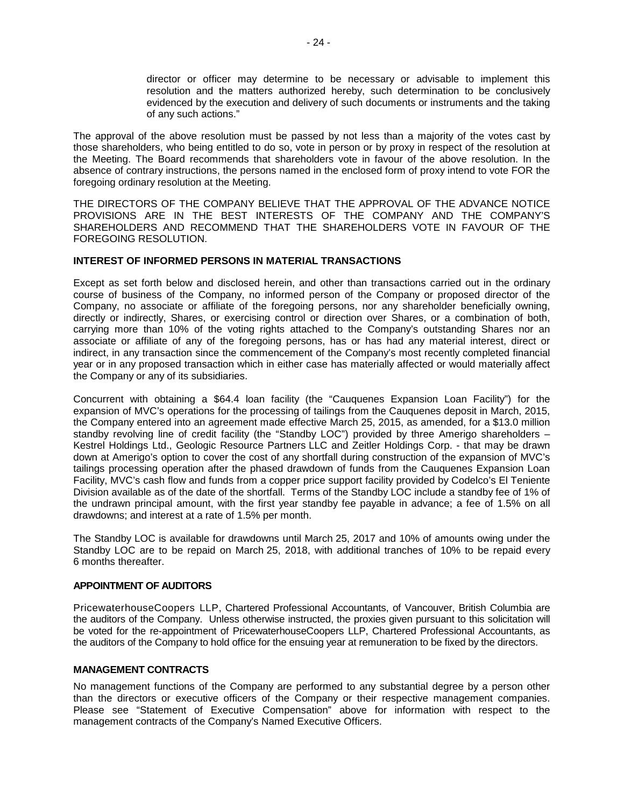director or officer may determine to be necessary or advisable to implement this resolution and the matters authorized hereby, such determination to be conclusively evidenced by the execution and delivery of such documents or instruments and the taking of any such actions."

The approval of the above resolution must be passed by not less than a majority of the votes cast by those shareholders, who being entitled to do so, vote in person or by proxy in respect of the resolution at the Meeting. The Board recommends that shareholders vote in favour of the above resolution. In the absence of contrary instructions, the persons named in the enclosed form of proxy intend to vote FOR the foregoing ordinary resolution at the Meeting.

THE DIRECTORS OF THE COMPANY BELIEVE THAT THE APPROVAL OF THE ADVANCE NOTICE PROVISIONS ARE IN THE BEST INTERESTS OF THE COMPANY AND THE COMPANY'S SHAREHOLDERS AND RECOMMEND THAT THE SHAREHOLDERS VOTE IN FAVOUR OF THE FOREGOING RESOLUTION.

## **INTEREST OF INFORMED PERSONS IN MATERIAL TRANSACTIONS**

Except as set forth below and disclosed herein, and other than transactions carried out in the ordinary course of business of the Company, no informed person of the Company or proposed director of the Company, no associate or affiliate of the foregoing persons, nor any shareholder beneficially owning, directly or indirectly, Shares, or exercising control or direction over Shares, or a combination of both, carrying more than 10% of the voting rights attached to the Company's outstanding Shares nor an associate or affiliate of any of the foregoing persons, has or has had any material interest, direct or indirect, in any transaction since the commencement of the Company's most recently completed financial year or in any proposed transaction which in either case has materially affected or would materially affect the Company or any of its subsidiaries.

Concurrent with obtaining a \$64.4 loan facility (the "Cauquenes Expansion Loan Facility") for the expansion of MVC's operations for the processing of tailings from the Cauquenes deposit in March, 2015, the Company entered into an agreement made effective March 25, 2015, as amended, for a \$13.0 million standby revolving line of credit facility (the "Standby LOC") provided by three Amerigo shareholders – Kestrel Holdings Ltd., Geologic Resource Partners LLC and Zeitler Holdings Corp. - that may be drawn down at Amerigo's option to cover the cost of any shortfall during construction of the expansion of MVC's tailings processing operation after the phased drawdown of funds from the Cauquenes Expansion Loan Facility, MVC's cash flow and funds from a copper price support facility provided by Codelco's El Teniente Division available as of the date of the shortfall. Terms of the Standby LOC include a standby fee of 1% of the undrawn principal amount, with the first year standby fee payable in advance; a fee of 1.5% on all drawdowns; and interest at a rate of 1.5% per month.

The Standby LOC is available for drawdowns until March 25, 2017 and 10% of amounts owing under the Standby LOC are to be repaid on March 25, 2018, with additional tranches of 10% to be repaid every 6 months thereafter.

## **APPOINTMENT OF AUDITORS**

PricewaterhouseCoopers LLP, Chartered Professional Accountants, of Vancouver, British Columbia are the auditors of the Company. Unless otherwise instructed, the proxies given pursuant to this solicitation will be voted for the re-appointment of PricewaterhouseCoopers LLP, Chartered Professional Accountants, as the auditors of the Company to hold office for the ensuing year at remuneration to be fixed by the directors.

## **MANAGEMENT CONTRACTS**

No management functions of the Company are performed to any substantial degree by a person other than the directors or executive officers of the Company or their respective management companies. Please see "Statement of Executive Compensation" above for information with respect to the management contracts of the Company's Named Executive Officers.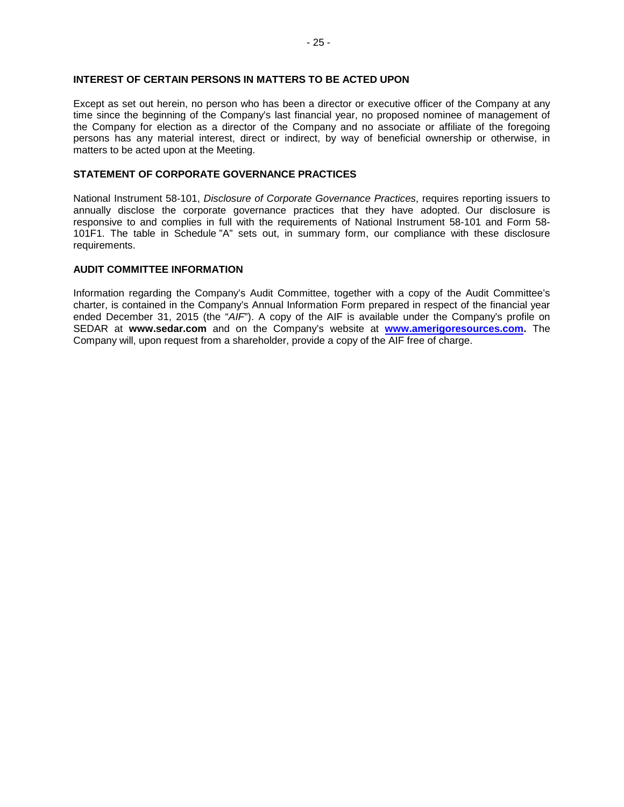Except as set out herein, no person who has been a director or executive officer of the Company at any time since the beginning of the Company's last financial year, no proposed nominee of management of the Company for election as a director of the Company and no associate or affiliate of the foregoing persons has any material interest, direct or indirect, by way of beneficial ownership or otherwise, in matters to be acted upon at the Meeting.

## **STATEMENT OF CORPORATE GOVERNANCE PRACTICES**

National Instrument 58‐101, *Disclosure of Corporate Governance Practices*, requires reporting issuers to annually disclose the corporate governance practices that they have adopted. Our disclosure is responsive to and complies in full with the requirements of National Instrument 58-101 and Form 58- 101F1. The table in Schedule "A" sets out, in summary form, our compliance with these disclosure requirements.

## **AUDIT COMMITTEE INFORMATION**

Information regarding the Company's Audit Committee, together with a copy of the Audit Committee's charter, is contained in the Company's Annual Information Form prepared in respect of the financial year ended December 31, 2015 (the "*AIF*"). A copy of the AIF is available under the Company's profile on SEDAR at **www.sedar.com** and on the Company's website at **[www.amerigoresources.com.](http://www.amerigoresources.com/)** The Company will, upon request from a shareholder, provide a copy of the AIF free of charge.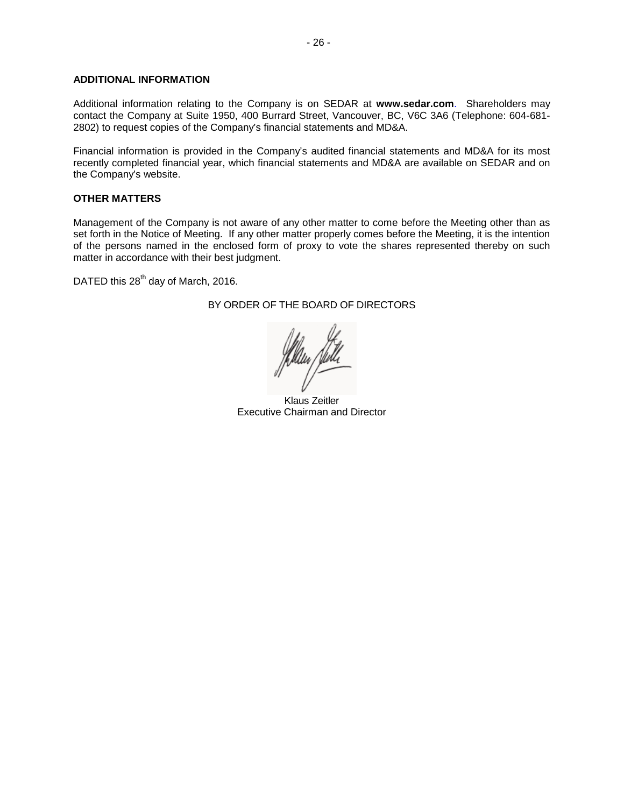## **ADDITIONAL INFORMATION**

Additional information relating to the Company is on SEDAR at **www.sedar.com**. Shareholders may contact the Company at Suite 1950, 400 Burrard Street, Vancouver, BC, V6C 3A6 (Telephone: 604-681- 2802) to request copies of the Company's financial statements and MD&A.

Financial information is provided in the Company's audited financial statements and MD&A for its most recently completed financial year, which financial statements and MD&A are available on SEDAR and on the Company's website.

#### **OTHER MATTERS**

Management of the Company is not aware of any other matter to come before the Meeting other than as set forth in the Notice of Meeting. If any other matter properly comes before the Meeting, it is the intention of the persons named in the enclosed form of proxy to vote the shares represented thereby on such matter in accordance with their best judgment.

DATED this 28<sup>th</sup> day of March, 2016.

## BY ORDER OF THE BOARD OF DIRECTORS

Klaus Zeitler Executive Chairman and Director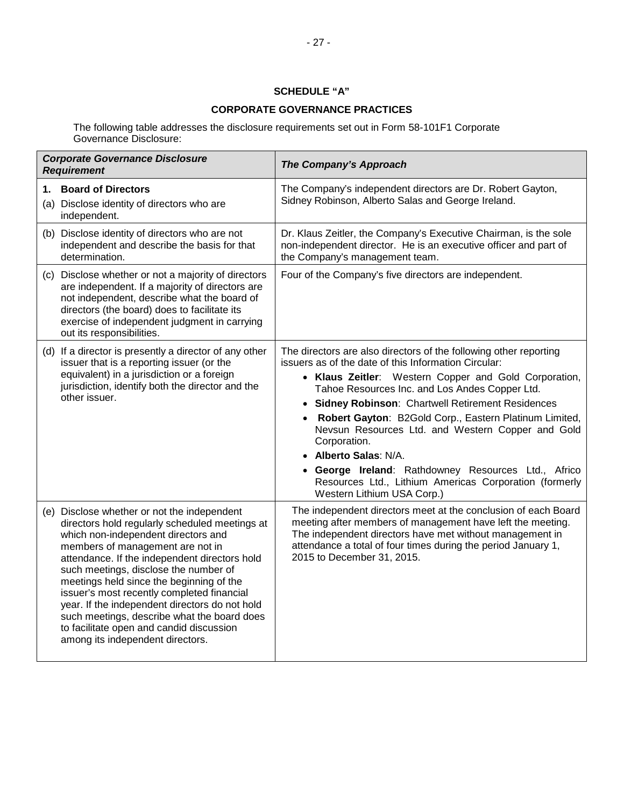## **SCHEDULE "A"**

## **CORPORATE GOVERNANCE PRACTICES**

The following table addresses the disclosure requirements set out in Form 58-101F1 Corporate Governance Disclosure:

| <b>Corporate Governance Disclosure</b><br><b>Requirement</b>                                                                                                                                                                                                                                                                                                                                                                                                                                                                                  | The Company's Approach                                                                                                                                                                                                                                                                                                                                                                                                                                                                                                                                                                               |
|-----------------------------------------------------------------------------------------------------------------------------------------------------------------------------------------------------------------------------------------------------------------------------------------------------------------------------------------------------------------------------------------------------------------------------------------------------------------------------------------------------------------------------------------------|------------------------------------------------------------------------------------------------------------------------------------------------------------------------------------------------------------------------------------------------------------------------------------------------------------------------------------------------------------------------------------------------------------------------------------------------------------------------------------------------------------------------------------------------------------------------------------------------------|
| <b>Board of Directors</b><br>1.<br>(a) Disclose identity of directors who are<br>independent.                                                                                                                                                                                                                                                                                                                                                                                                                                                 | The Company's independent directors are Dr. Robert Gayton,<br>Sidney Robinson, Alberto Salas and George Ireland.                                                                                                                                                                                                                                                                                                                                                                                                                                                                                     |
| (b) Disclose identity of directors who are not<br>independent and describe the basis for that<br>determination.                                                                                                                                                                                                                                                                                                                                                                                                                               | Dr. Klaus Zeitler, the Company's Executive Chairman, is the sole<br>non-independent director. He is an executive officer and part of<br>the Company's management team.                                                                                                                                                                                                                                                                                                                                                                                                                               |
| (c) Disclose whether or not a majority of directors<br>are independent. If a majority of directors are<br>not independent, describe what the board of<br>directors (the board) does to facilitate its<br>exercise of independent judgment in carrying<br>out its responsibilities.                                                                                                                                                                                                                                                            | Four of the Company's five directors are independent.                                                                                                                                                                                                                                                                                                                                                                                                                                                                                                                                                |
| (d) If a director is presently a director of any other<br>issuer that is a reporting issuer (or the<br>equivalent) in a jurisdiction or a foreign<br>jurisdiction, identify both the director and the<br>other issuer.                                                                                                                                                                                                                                                                                                                        | The directors are also directors of the following other reporting<br>issuers as of the date of this Information Circular:<br>• Klaus Zeitler: Western Copper and Gold Corporation,<br>Tahoe Resources Inc. and Los Andes Copper Ltd.<br>• Sidney Robinson: Chartwell Retirement Residences<br>Robert Gayton: B2Gold Corp., Eastern Platinum Limited,<br>Nevsun Resources Ltd. and Western Copper and Gold<br>Corporation.<br><b>Alberto Salas: N/A.</b><br>George Ireland: Rathdowney Resources Ltd., Africo<br>Resources Ltd., Lithium Americas Corporation (formerly<br>Western Lithium USA Corp.) |
| (e) Disclose whether or not the independent<br>directors hold regularly scheduled meetings at<br>which non-independent directors and<br>members of management are not in<br>attendance. If the independent directors hold<br>such meetings, disclose the number of<br>meetings held since the beginning of the<br>issuer's most recently completed financial<br>year. If the independent directors do not hold<br>such meetings, describe what the board does<br>to facilitate open and candid discussion<br>among its independent directors. | The independent directors meet at the conclusion of each Board<br>meeting after members of management have left the meeting.<br>The independent directors have met without management in<br>attendance a total of four times during the period January 1,<br>2015 to December 31, 2015.                                                                                                                                                                                                                                                                                                              |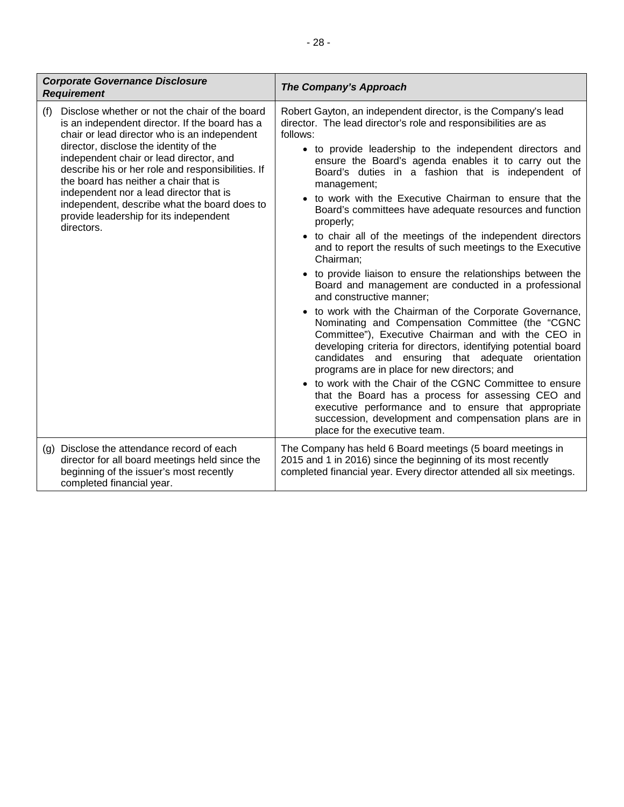| <b>Corporate Governance Disclosure</b><br><b>Requirement</b>                                                                                                                                                                                                                                                                                                                                                                                                                                  | The Company's Approach                                                                                                                                                                                                                                                                                                                                                                                                                                                                                                                                                                                                                                                                                                                                                                                                                                                                                                                                                                                                                                                                                                                                                                                                                                                                                                                                                                      |
|-----------------------------------------------------------------------------------------------------------------------------------------------------------------------------------------------------------------------------------------------------------------------------------------------------------------------------------------------------------------------------------------------------------------------------------------------------------------------------------------------|---------------------------------------------------------------------------------------------------------------------------------------------------------------------------------------------------------------------------------------------------------------------------------------------------------------------------------------------------------------------------------------------------------------------------------------------------------------------------------------------------------------------------------------------------------------------------------------------------------------------------------------------------------------------------------------------------------------------------------------------------------------------------------------------------------------------------------------------------------------------------------------------------------------------------------------------------------------------------------------------------------------------------------------------------------------------------------------------------------------------------------------------------------------------------------------------------------------------------------------------------------------------------------------------------------------------------------------------------------------------------------------------|
| Disclose whether or not the chair of the board<br>(f)<br>is an independent director. If the board has a<br>chair or lead director who is an independent<br>director, disclose the identity of the<br>independent chair or lead director, and<br>describe his or her role and responsibilities. If<br>the board has neither a chair that is<br>independent nor a lead director that is<br>independent, describe what the board does to<br>provide leadership for its independent<br>directors. | Robert Gayton, an independent director, is the Company's lead<br>director. The lead director's role and responsibilities are as<br>follows:<br>• to provide leadership to the independent directors and<br>ensure the Board's agenda enables it to carry out the<br>Board's duties in a fashion that is independent of<br>management;<br>to work with the Executive Chairman to ensure that the<br>Board's committees have adequate resources and function<br>properly;<br>• to chair all of the meetings of the independent directors<br>and to report the results of such meetings to the Executive<br>Chairman;<br>• to provide liaison to ensure the relationships between the<br>Board and management are conducted in a professional<br>and constructive manner;<br>• to work with the Chairman of the Corporate Governance,<br>Nominating and Compensation Committee (the "CGNC<br>Committee"), Executive Chairman and with the CEO in<br>developing criteria for directors, identifying potential board<br>candidates and ensuring that adequate<br>orientation<br>programs are in place for new directors; and<br>• to work with the Chair of the CGNC Committee to ensure<br>that the Board has a process for assessing CEO and<br>executive performance and to ensure that appropriate<br>succession, development and compensation plans are in<br>place for the executive team. |
| Disclose the attendance record of each<br>(g)<br>director for all board meetings held since the<br>beginning of the issuer's most recently<br>completed financial year.                                                                                                                                                                                                                                                                                                                       | The Company has held 6 Board meetings (5 board meetings in<br>2015 and 1 in 2016) since the beginning of its most recently<br>completed financial year. Every director attended all six meetings.                                                                                                                                                                                                                                                                                                                                                                                                                                                                                                                                                                                                                                                                                                                                                                                                                                                                                                                                                                                                                                                                                                                                                                                           |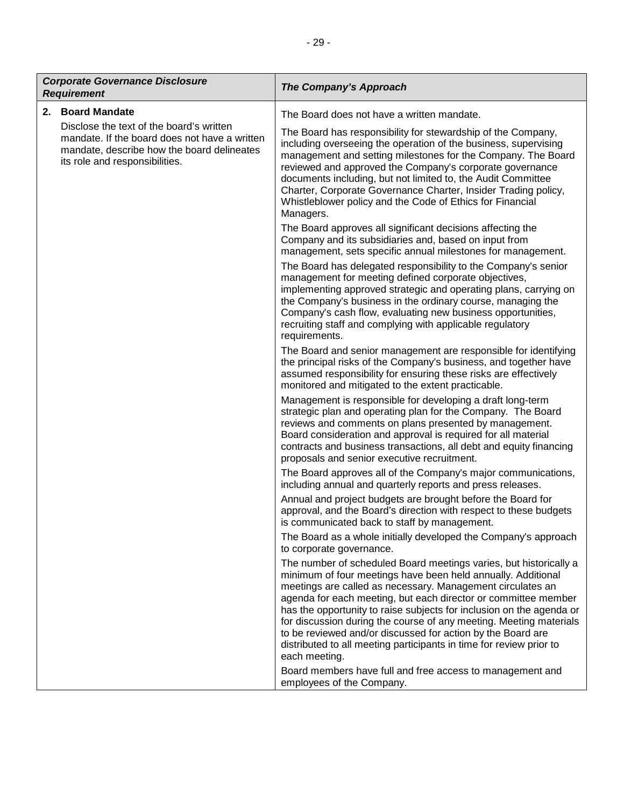| <b>Corporate Governance Disclosure</b><br><b>Requirement</b> |                                                                                                                                                                           | The Company's Approach                                                                                                                                                                                                                                                                                                                                                                                                                                                                                                                                                                                                              |
|--------------------------------------------------------------|---------------------------------------------------------------------------------------------------------------------------------------------------------------------------|-------------------------------------------------------------------------------------------------------------------------------------------------------------------------------------------------------------------------------------------------------------------------------------------------------------------------------------------------------------------------------------------------------------------------------------------------------------------------------------------------------------------------------------------------------------------------------------------------------------------------------------|
|                                                              | 2. Board Mandate                                                                                                                                                          | The Board does not have a written mandate.                                                                                                                                                                                                                                                                                                                                                                                                                                                                                                                                                                                          |
|                                                              | Disclose the text of the board's written<br>mandate. If the board does not have a written<br>mandate, describe how the board delineates<br>its role and responsibilities. | The Board has responsibility for stewardship of the Company,<br>including overseeing the operation of the business, supervising<br>management and setting milestones for the Company. The Board<br>reviewed and approved the Company's corporate governance<br>documents including, but not limited to, the Audit Committee<br>Charter, Corporate Governance Charter, Insider Trading policy,<br>Whistleblower policy and the Code of Ethics for Financial<br>Managers.                                                                                                                                                             |
|                                                              |                                                                                                                                                                           | The Board approves all significant decisions affecting the<br>Company and its subsidiaries and, based on input from<br>management, sets specific annual milestones for management.                                                                                                                                                                                                                                                                                                                                                                                                                                                  |
|                                                              |                                                                                                                                                                           | The Board has delegated responsibility to the Company's senior<br>management for meeting defined corporate objectives,<br>implementing approved strategic and operating plans, carrying on<br>the Company's business in the ordinary course, managing the<br>Company's cash flow, evaluating new business opportunities,<br>recruiting staff and complying with applicable regulatory<br>requirements.                                                                                                                                                                                                                              |
|                                                              |                                                                                                                                                                           | The Board and senior management are responsible for identifying<br>the principal risks of the Company's business, and together have<br>assumed responsibility for ensuring these risks are effectively<br>monitored and mitigated to the extent practicable.                                                                                                                                                                                                                                                                                                                                                                        |
|                                                              |                                                                                                                                                                           | Management is responsible for developing a draft long-term<br>strategic plan and operating plan for the Company. The Board<br>reviews and comments on plans presented by management.<br>Board consideration and approval is required for all material<br>contracts and business transactions, all debt and equity financing<br>proposals and senior executive recruitment.                                                                                                                                                                                                                                                          |
|                                                              |                                                                                                                                                                           | The Board approves all of the Company's major communications,<br>including annual and quarterly reports and press releases.                                                                                                                                                                                                                                                                                                                                                                                                                                                                                                         |
|                                                              |                                                                                                                                                                           | Annual and project budgets are brought before the Board for<br>approval, and the Board's direction with respect to these budgets<br>is communicated back to staff by management.                                                                                                                                                                                                                                                                                                                                                                                                                                                    |
|                                                              |                                                                                                                                                                           | The Board as a whole initially developed the Company's approach<br>to corporate governance.                                                                                                                                                                                                                                                                                                                                                                                                                                                                                                                                         |
|                                                              |                                                                                                                                                                           | The number of scheduled Board meetings varies, but historically a<br>minimum of four meetings have been held annually. Additional<br>meetings are called as necessary. Management circulates an<br>agenda for each meeting, but each director or committee member<br>has the opportunity to raise subjects for inclusion on the agenda or<br>for discussion during the course of any meeting. Meeting materials<br>to be reviewed and/or discussed for action by the Board are<br>distributed to all meeting participants in time for review prior to<br>each meeting.<br>Board members have full and free access to management and |
|                                                              |                                                                                                                                                                           | employees of the Company.                                                                                                                                                                                                                                                                                                                                                                                                                                                                                                                                                                                                           |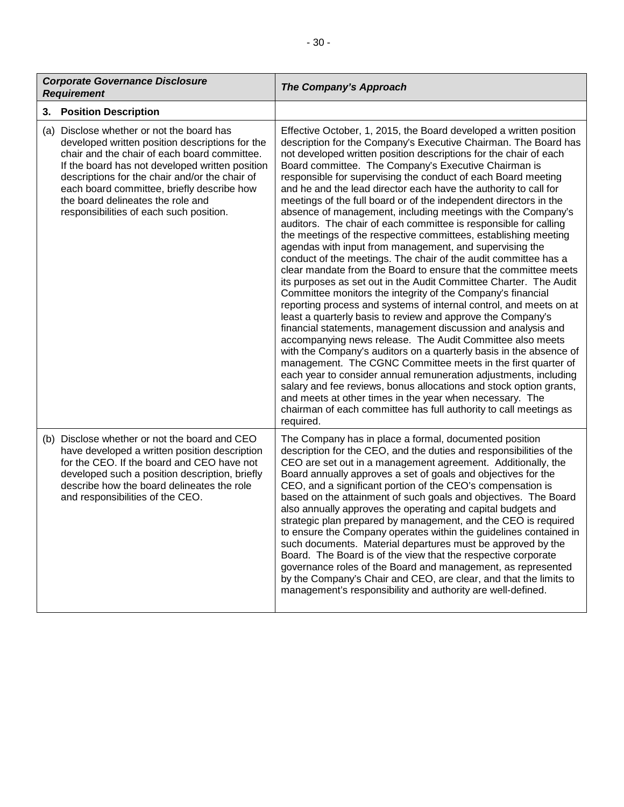| <b>Corporate Governance Disclosure</b><br><b>Requirement</b>                                                                                                                                                                                                                                                                                                                    | The Company's Approach                                                                                                                                                                                                                                                                                                                                                                                                                                                                                                                                                                                                                                                                                                                                                                                                                                                                                                                                                                                                                                                                                                                                                                                                                                                                                                                                                                                                                                                                                                                                                                                                                                                                                                   |
|---------------------------------------------------------------------------------------------------------------------------------------------------------------------------------------------------------------------------------------------------------------------------------------------------------------------------------------------------------------------------------|--------------------------------------------------------------------------------------------------------------------------------------------------------------------------------------------------------------------------------------------------------------------------------------------------------------------------------------------------------------------------------------------------------------------------------------------------------------------------------------------------------------------------------------------------------------------------------------------------------------------------------------------------------------------------------------------------------------------------------------------------------------------------------------------------------------------------------------------------------------------------------------------------------------------------------------------------------------------------------------------------------------------------------------------------------------------------------------------------------------------------------------------------------------------------------------------------------------------------------------------------------------------------------------------------------------------------------------------------------------------------------------------------------------------------------------------------------------------------------------------------------------------------------------------------------------------------------------------------------------------------------------------------------------------------------------------------------------------------|
| <b>Position Description</b><br>3.                                                                                                                                                                                                                                                                                                                                               |                                                                                                                                                                                                                                                                                                                                                                                                                                                                                                                                                                                                                                                                                                                                                                                                                                                                                                                                                                                                                                                                                                                                                                                                                                                                                                                                                                                                                                                                                                                                                                                                                                                                                                                          |
| (a) Disclose whether or not the board has<br>developed written position descriptions for the<br>chair and the chair of each board committee.<br>If the board has not developed written position<br>descriptions for the chair and/or the chair of<br>each board committee, briefly describe how<br>the board delineates the role and<br>responsibilities of each such position. | Effective October, 1, 2015, the Board developed a written position<br>description for the Company's Executive Chairman. The Board has<br>not developed written position descriptions for the chair of each<br>Board committee. The Company's Executive Chairman is<br>responsible for supervising the conduct of each Board meeting<br>and he and the lead director each have the authority to call for<br>meetings of the full board or of the independent directors in the<br>absence of management, including meetings with the Company's<br>auditors. The chair of each committee is responsible for calling<br>the meetings of the respective committees, establishing meeting<br>agendas with input from management, and supervising the<br>conduct of the meetings. The chair of the audit committee has a<br>clear mandate from the Board to ensure that the committee meets<br>its purposes as set out in the Audit Committee Charter. The Audit<br>Committee monitors the integrity of the Company's financial<br>reporting process and systems of internal control, and meets on at<br>least a quarterly basis to review and approve the Company's<br>financial statements, management discussion and analysis and<br>accompanying news release. The Audit Committee also meets<br>with the Company's auditors on a quarterly basis in the absence of<br>management. The CGNC Committee meets in the first quarter of<br>each year to consider annual remuneration adjustments, including<br>salary and fee reviews, bonus allocations and stock option grants,<br>and meets at other times in the year when necessary. The<br>chairman of each committee has full authority to call meetings as<br>required. |
| (b) Disclose whether or not the board and CEO<br>have developed a written position description<br>for the CEO. If the board and CEO have not<br>developed such a position description, briefly<br>describe how the board delineates the role<br>and responsibilities of the CEO.                                                                                                | The Company has in place a formal, documented position<br>description for the CEO, and the duties and responsibilities of the<br>CEO are set out in a management agreement. Additionally, the<br>Board annually approves a set of goals and objectives for the<br>CEO, and a significant portion of the CEO's compensation is<br>based on the attainment of such goals and objectives. The Board<br>also annually approves the operating and capital budgets and<br>strategic plan prepared by management, and the CEO is required<br>to ensure the Company operates within the guidelines contained in<br>such documents. Material departures must be approved by the<br>Board. The Board is of the view that the respective corporate<br>governance roles of the Board and management, as represented<br>by the Company's Chair and CEO, are clear, and that the limits to<br>management's responsibility and authority are well-defined.                                                                                                                                                                                                                                                                                                                                                                                                                                                                                                                                                                                                                                                                                                                                                                              |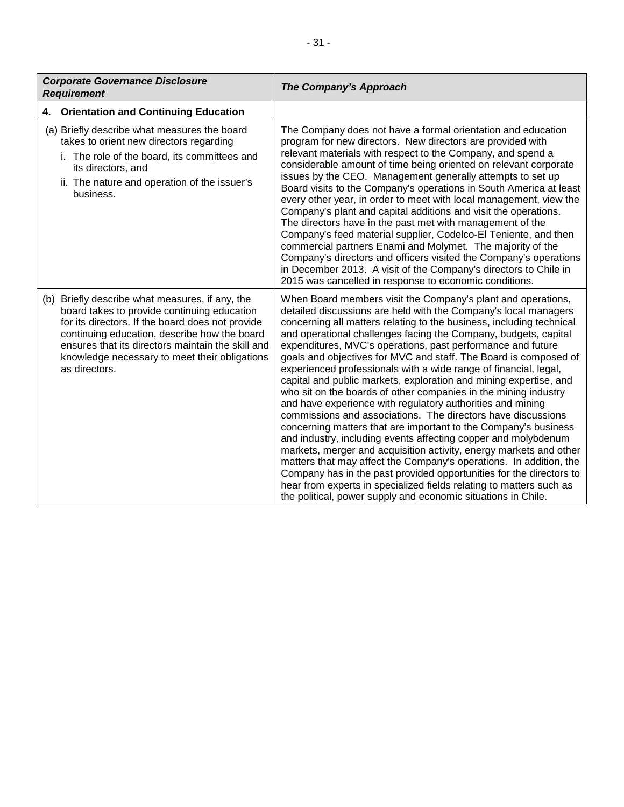| <b>Corporate Governance Disclosure</b><br><b>Requirement</b>                                                                                                                                                                                                                                                              | The Company's Approach                                                                                                                                                                                                                                                                                                                                                                                                                                                                                                                                                                                                                                                                                                                                                                                                                                                                                                                                                                                                                                                                                                                                                                                                                                  |
|---------------------------------------------------------------------------------------------------------------------------------------------------------------------------------------------------------------------------------------------------------------------------------------------------------------------------|---------------------------------------------------------------------------------------------------------------------------------------------------------------------------------------------------------------------------------------------------------------------------------------------------------------------------------------------------------------------------------------------------------------------------------------------------------------------------------------------------------------------------------------------------------------------------------------------------------------------------------------------------------------------------------------------------------------------------------------------------------------------------------------------------------------------------------------------------------------------------------------------------------------------------------------------------------------------------------------------------------------------------------------------------------------------------------------------------------------------------------------------------------------------------------------------------------------------------------------------------------|
| <b>Orientation and Continuing Education</b><br>4.                                                                                                                                                                                                                                                                         |                                                                                                                                                                                                                                                                                                                                                                                                                                                                                                                                                                                                                                                                                                                                                                                                                                                                                                                                                                                                                                                                                                                                                                                                                                                         |
| (a) Briefly describe what measures the board<br>takes to orient new directors regarding<br>i. The role of the board, its committees and<br>its directors, and<br>ii. The nature and operation of the issuer's<br>business.                                                                                                | The Company does not have a formal orientation and education<br>program for new directors. New directors are provided with<br>relevant materials with respect to the Company, and spend a<br>considerable amount of time being oriented on relevant corporate<br>issues by the CEO. Management generally attempts to set up<br>Board visits to the Company's operations in South America at least<br>every other year, in order to meet with local management, view the<br>Company's plant and capital additions and visit the operations.<br>The directors have in the past met with management of the<br>Company's feed material supplier, Codelco-El Teniente, and then<br>commercial partners Enami and Molymet. The majority of the<br>Company's directors and officers visited the Company's operations<br>in December 2013. A visit of the Company's directors to Chile in<br>2015 was cancelled in response to economic conditions.                                                                                                                                                                                                                                                                                                             |
| (b) Briefly describe what measures, if any, the<br>board takes to provide continuing education<br>for its directors. If the board does not provide<br>continuing education, describe how the board<br>ensures that its directors maintain the skill and<br>knowledge necessary to meet their obligations<br>as directors. | When Board members visit the Company's plant and operations,<br>detailed discussions are held with the Company's local managers<br>concerning all matters relating to the business, including technical<br>and operational challenges facing the Company, budgets, capital<br>expenditures, MVC's operations, past performance and future<br>goals and objectives for MVC and staff. The Board is composed of<br>experienced professionals with a wide range of financial, legal,<br>capital and public markets, exploration and mining expertise, and<br>who sit on the boards of other companies in the mining industry<br>and have experience with regulatory authorities and mining<br>commissions and associations. The directors have discussions<br>concerning matters that are important to the Company's business<br>and industry, including events affecting copper and molybdenum<br>markets, merger and acquisition activity, energy markets and other<br>matters that may affect the Company's operations. In addition, the<br>Company has in the past provided opportunities for the directors to<br>hear from experts in specialized fields relating to matters such as<br>the political, power supply and economic situations in Chile. |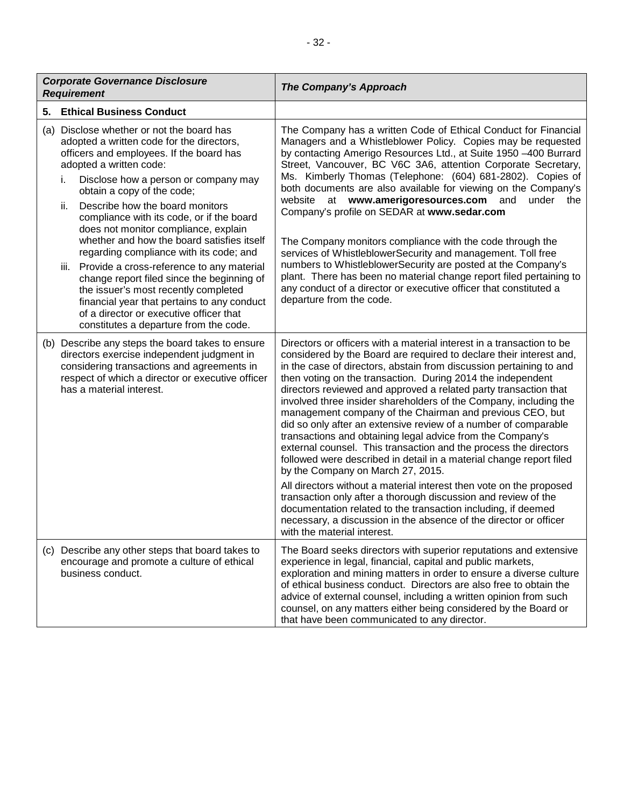| <b>Corporate Governance Disclosure</b><br><b>Requirement</b> |                                                                                                                                                                                                                                                                                                                                                                                                                                                                                                                                                                                                                                                                                                                                               | The Company's Approach                                                                                                                                                                                                                                                                                                                                                                                                                                                                                                                                                                                                                                                                                                                                                                                                                                                                                                                                                                                                                                                                                                 |
|--------------------------------------------------------------|-----------------------------------------------------------------------------------------------------------------------------------------------------------------------------------------------------------------------------------------------------------------------------------------------------------------------------------------------------------------------------------------------------------------------------------------------------------------------------------------------------------------------------------------------------------------------------------------------------------------------------------------------------------------------------------------------------------------------------------------------|------------------------------------------------------------------------------------------------------------------------------------------------------------------------------------------------------------------------------------------------------------------------------------------------------------------------------------------------------------------------------------------------------------------------------------------------------------------------------------------------------------------------------------------------------------------------------------------------------------------------------------------------------------------------------------------------------------------------------------------------------------------------------------------------------------------------------------------------------------------------------------------------------------------------------------------------------------------------------------------------------------------------------------------------------------------------------------------------------------------------|
| 5.                                                           | <b>Ethical Business Conduct</b>                                                                                                                                                                                                                                                                                                                                                                                                                                                                                                                                                                                                                                                                                                               |                                                                                                                                                                                                                                                                                                                                                                                                                                                                                                                                                                                                                                                                                                                                                                                                                                                                                                                                                                                                                                                                                                                        |
|                                                              | (a) Disclose whether or not the board has<br>adopted a written code for the directors,<br>officers and employees. If the board has<br>adopted a written code:<br>Disclose how a person or company may<br>i.<br>obtain a copy of the code;<br>Describe how the board monitors<br>ii.<br>compliance with its code, or if the board<br>does not monitor compliance, explain<br>whether and how the board satisfies itself<br>regarding compliance with its code; and<br>iii. Provide a cross-reference to any material<br>change report filed since the beginning of<br>the issuer's most recently completed<br>financial year that pertains to any conduct<br>of a director or executive officer that<br>constitutes a departure from the code. | The Company has a written Code of Ethical Conduct for Financial<br>Managers and a Whistleblower Policy. Copies may be requested<br>by contacting Amerigo Resources Ltd., at Suite 1950 -400 Burrard<br>Street, Vancouver, BC V6C 3A6, attention Corporate Secretary,<br>Ms. Kimberly Thomas (Telephone: (604) 681-2802). Copies of<br>both documents are also available for viewing on the Company's<br>website at www.amerigoresources.com and<br>under the<br>Company's profile on SEDAR at www.sedar.com<br>The Company monitors compliance with the code through the<br>services of WhistleblowerSecurity and management. Toll free<br>numbers to WhistleblowerSecurity are posted at the Company's<br>plant. There has been no material change report filed pertaining to<br>any conduct of a director or executive officer that constituted a<br>departure from the code.                                                                                                                                                                                                                                        |
|                                                              | (b) Describe any steps the board takes to ensure<br>directors exercise independent judgment in<br>considering transactions and agreements in<br>respect of which a director or executive officer<br>has a material interest.                                                                                                                                                                                                                                                                                                                                                                                                                                                                                                                  | Directors or officers with a material interest in a transaction to be<br>considered by the Board are required to declare their interest and,<br>in the case of directors, abstain from discussion pertaining to and<br>then voting on the transaction. During 2014 the independent<br>directors reviewed and approved a related party transaction that<br>involved three insider shareholders of the Company, including the<br>management company of the Chairman and previous CEO, but<br>did so only after an extensive review of a number of comparable<br>transactions and obtaining legal advice from the Company's<br>external counsel. This transaction and the process the directors<br>followed were described in detail in a material change report filed<br>by the Company on March 27, 2015.<br>All directors without a material interest then vote on the proposed<br>transaction only after a thorough discussion and review of the<br>documentation related to the transaction including, if deemed<br>necessary, a discussion in the absence of the director or officer<br>with the material interest. |
|                                                              | (c) Describe any other steps that board takes to<br>encourage and promote a culture of ethical<br>business conduct.                                                                                                                                                                                                                                                                                                                                                                                                                                                                                                                                                                                                                           | The Board seeks directors with superior reputations and extensive<br>experience in legal, financial, capital and public markets,<br>exploration and mining matters in order to ensure a diverse culture<br>of ethical business conduct. Directors are also free to obtain the<br>advice of external counsel, including a written opinion from such<br>counsel, on any matters either being considered by the Board or<br>that have been communicated to any director.                                                                                                                                                                                                                                                                                                                                                                                                                                                                                                                                                                                                                                                  |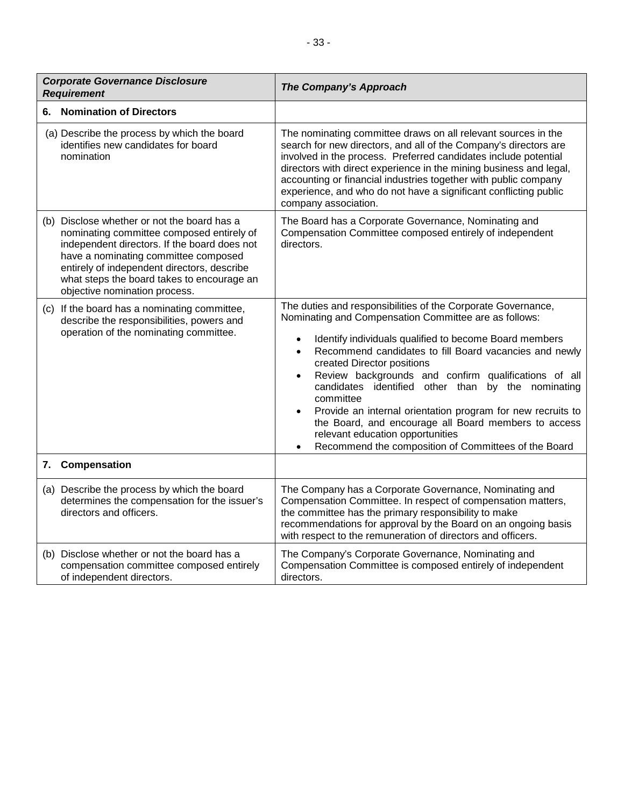| <b>Corporate Governance Disclosure</b><br><b>Requirement</b> |                                                                                                                                                                                                                                                                                                                | <b>The Company's Approach</b>                                                                                                                                                                                                                                                                                                                                                                                                                                                                                                                                                                                                                                                |
|--------------------------------------------------------------|----------------------------------------------------------------------------------------------------------------------------------------------------------------------------------------------------------------------------------------------------------------------------------------------------------------|------------------------------------------------------------------------------------------------------------------------------------------------------------------------------------------------------------------------------------------------------------------------------------------------------------------------------------------------------------------------------------------------------------------------------------------------------------------------------------------------------------------------------------------------------------------------------------------------------------------------------------------------------------------------------|
| 6. Nomination of Directors                                   |                                                                                                                                                                                                                                                                                                                |                                                                                                                                                                                                                                                                                                                                                                                                                                                                                                                                                                                                                                                                              |
|                                                              | (a) Describe the process by which the board<br>identifies new candidates for board<br>nomination                                                                                                                                                                                                               | The nominating committee draws on all relevant sources in the<br>search for new directors, and all of the Company's directors are<br>involved in the process. Preferred candidates include potential<br>directors with direct experience in the mining business and legal,<br>accounting or financial industries together with public company<br>experience, and who do not have a significant conflicting public<br>company association.                                                                                                                                                                                                                                    |
|                                                              | (b) Disclose whether or not the board has a<br>nominating committee composed entirely of<br>independent directors. If the board does not<br>have a nominating committee composed<br>entirely of independent directors, describe<br>what steps the board takes to encourage an<br>objective nomination process. | The Board has a Corporate Governance, Nominating and<br>Compensation Committee composed entirely of independent<br>directors.                                                                                                                                                                                                                                                                                                                                                                                                                                                                                                                                                |
|                                                              | (c) If the board has a nominating committee,<br>describe the responsibilities, powers and<br>operation of the nominating committee.                                                                                                                                                                            | The duties and responsibilities of the Corporate Governance,<br>Nominating and Compensation Committee are as follows:<br>Identify individuals qualified to become Board members<br>$\bullet$<br>Recommend candidates to fill Board vacancies and newly<br>$\bullet$<br>created Director positions<br>Review backgrounds and confirm qualifications of all<br>$\bullet$<br>candidates identified other than<br>by the nominating<br>committee<br>Provide an internal orientation program for new recruits to<br>$\bullet$<br>the Board, and encourage all Board members to access<br>relevant education opportunities<br>Recommend the composition of Committees of the Board |
| 7.                                                           | Compensation                                                                                                                                                                                                                                                                                                   |                                                                                                                                                                                                                                                                                                                                                                                                                                                                                                                                                                                                                                                                              |
|                                                              | (a) Describe the process by which the board<br>determines the compensation for the issuer's<br>directors and officers.                                                                                                                                                                                         | The Company has a Corporate Governance, Nominating and<br>Compensation Committee. In respect of compensation matters,<br>the committee has the primary responsibility to make<br>recommendations for approval by the Board on an ongoing basis<br>with respect to the remuneration of directors and officers.                                                                                                                                                                                                                                                                                                                                                                |
|                                                              | (b) Disclose whether or not the board has a<br>compensation committee composed entirely<br>of independent directors.                                                                                                                                                                                           | The Company's Corporate Governance, Nominating and<br>Compensation Committee is composed entirely of independent<br>directors.                                                                                                                                                                                                                                                                                                                                                                                                                                                                                                                                               |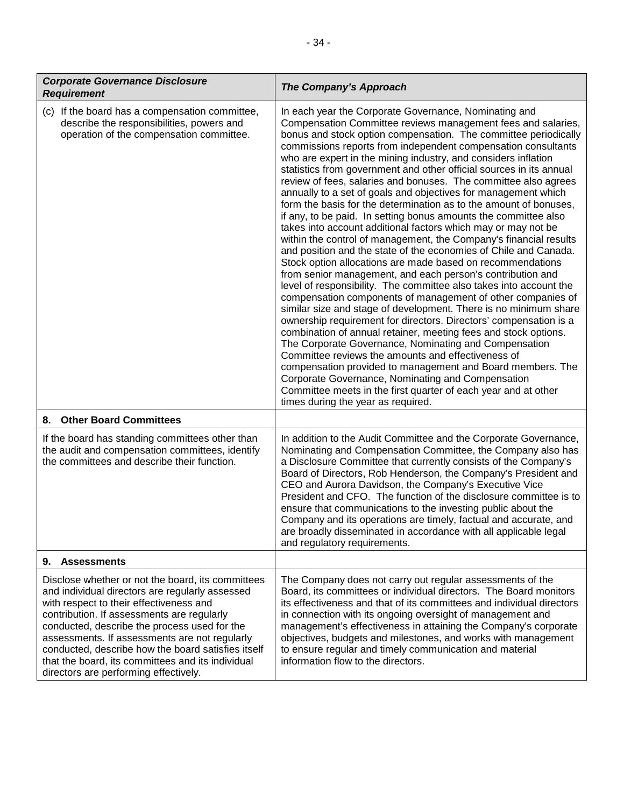| <b>Corporate Governance Disclosure</b><br><b>Requirement</b>                                                                                                                                                                                                                                                                                                                                                                                       | <b>The Company's Approach</b>                                                                                                                                                                                                                                                                                                                                                                                                                                                                                                                                                                                                                                                                                                                                                                                                                                                                                                                                                                                                                                                                                                                                                                                                                                                                                                                                                                                                                                                                                                                                                                                                                                                                                    |
|----------------------------------------------------------------------------------------------------------------------------------------------------------------------------------------------------------------------------------------------------------------------------------------------------------------------------------------------------------------------------------------------------------------------------------------------------|------------------------------------------------------------------------------------------------------------------------------------------------------------------------------------------------------------------------------------------------------------------------------------------------------------------------------------------------------------------------------------------------------------------------------------------------------------------------------------------------------------------------------------------------------------------------------------------------------------------------------------------------------------------------------------------------------------------------------------------------------------------------------------------------------------------------------------------------------------------------------------------------------------------------------------------------------------------------------------------------------------------------------------------------------------------------------------------------------------------------------------------------------------------------------------------------------------------------------------------------------------------------------------------------------------------------------------------------------------------------------------------------------------------------------------------------------------------------------------------------------------------------------------------------------------------------------------------------------------------------------------------------------------------------------------------------------------------|
| (c) If the board has a compensation committee,<br>describe the responsibilities, powers and<br>operation of the compensation committee.                                                                                                                                                                                                                                                                                                            | In each year the Corporate Governance, Nominating and<br>Compensation Committee reviews management fees and salaries,<br>bonus and stock option compensation. The committee periodically<br>commissions reports from independent compensation consultants<br>who are expert in the mining industry, and considers inflation<br>statistics from government and other official sources in its annual<br>review of fees, salaries and bonuses. The committee also agrees<br>annually to a set of goals and objectives for management which<br>form the basis for the determination as to the amount of bonuses,<br>if any, to be paid. In setting bonus amounts the committee also<br>takes into account additional factors which may or may not be<br>within the control of management, the Company's financial results<br>and position and the state of the economies of Chile and Canada.<br>Stock option allocations are made based on recommendations<br>from senior management, and each person's contribution and<br>level of responsibility. The committee also takes into account the<br>compensation components of management of other companies of<br>similar size and stage of development. There is no minimum share<br>ownership requirement for directors. Directors' compensation is a<br>combination of annual retainer, meeting fees and stock options.<br>The Corporate Governance, Nominating and Compensation<br>Committee reviews the amounts and effectiveness of<br>compensation provided to management and Board members. The<br>Corporate Governance, Nominating and Compensation<br>Committee meets in the first quarter of each year and at other<br>times during the year as required. |
| <b>Other Board Committees</b><br>8.                                                                                                                                                                                                                                                                                                                                                                                                                |                                                                                                                                                                                                                                                                                                                                                                                                                                                                                                                                                                                                                                                                                                                                                                                                                                                                                                                                                                                                                                                                                                                                                                                                                                                                                                                                                                                                                                                                                                                                                                                                                                                                                                                  |
| If the board has standing committees other than<br>the audit and compensation committees, identify<br>the committees and describe their function.                                                                                                                                                                                                                                                                                                  | In addition to the Audit Committee and the Corporate Governance,<br>Nominating and Compensation Committee, the Company also has<br>a Disclosure Committee that currently consists of the Company's<br>Board of Directors, Rob Henderson, the Company's President and<br>CEO and Aurora Davidson, the Company's Executive Vice<br>President and CFO. The function of the disclosure committee is to<br>ensure that communications to the investing public about the<br>Company and its operations are timely, factual and accurate, and<br>are broadly disseminated in accordance with all applicable legal<br>and regulatory requirements.                                                                                                                                                                                                                                                                                                                                                                                                                                                                                                                                                                                                                                                                                                                                                                                                                                                                                                                                                                                                                                                                       |
| <b>Assessments</b><br>9.                                                                                                                                                                                                                                                                                                                                                                                                                           |                                                                                                                                                                                                                                                                                                                                                                                                                                                                                                                                                                                                                                                                                                                                                                                                                                                                                                                                                                                                                                                                                                                                                                                                                                                                                                                                                                                                                                                                                                                                                                                                                                                                                                                  |
| Disclose whether or not the board, its committees<br>and individual directors are regularly assessed<br>with respect to their effectiveness and<br>contribution. If assessments are regularly<br>conducted, describe the process used for the<br>assessments. If assessments are not regularly<br>conducted, describe how the board satisfies itself<br>that the board, its committees and its individual<br>directors are performing effectively. | The Company does not carry out regular assessments of the<br>Board, its committees or individual directors. The Board monitors<br>its effectiveness and that of its committees and individual directors<br>in connection with its ongoing oversight of management and<br>management's effectiveness in attaining the Company's corporate<br>objectives, budgets and milestones, and works with management<br>to ensure regular and timely communication and material<br>information flow to the directors.                                                                                                                                                                                                                                                                                                                                                                                                                                                                                                                                                                                                                                                                                                                                                                                                                                                                                                                                                                                                                                                                                                                                                                                                       |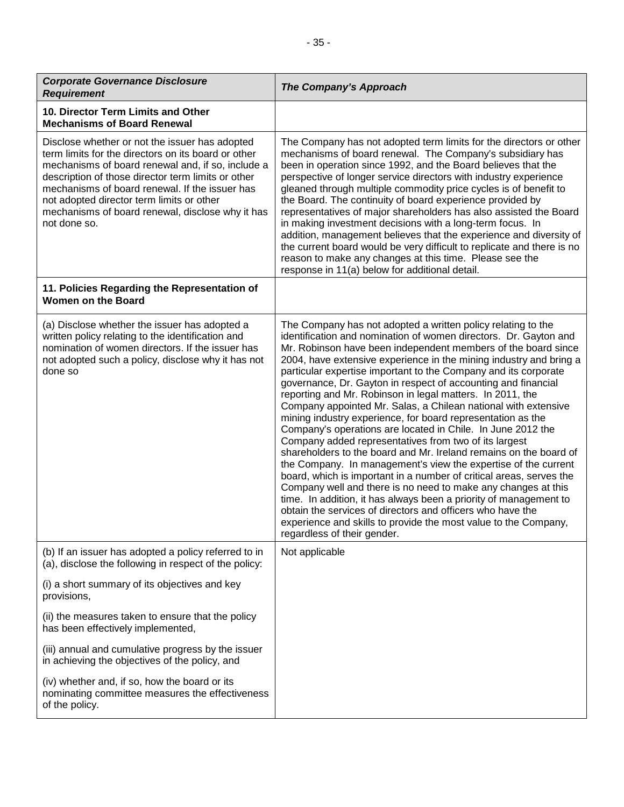| <b>Corporate Governance Disclosure</b><br><b>Requirement</b>                                                                                                                                                                                                                                                                                                                        | <b>The Company's Approach</b>                                                                                                                                                                                                                                                                                                                                                                                                                                                                                                                                                                                                                                                                                                                                                                                                                                                                                                                                                                                                                                                                                                                                                                                                                         |
|-------------------------------------------------------------------------------------------------------------------------------------------------------------------------------------------------------------------------------------------------------------------------------------------------------------------------------------------------------------------------------------|-------------------------------------------------------------------------------------------------------------------------------------------------------------------------------------------------------------------------------------------------------------------------------------------------------------------------------------------------------------------------------------------------------------------------------------------------------------------------------------------------------------------------------------------------------------------------------------------------------------------------------------------------------------------------------------------------------------------------------------------------------------------------------------------------------------------------------------------------------------------------------------------------------------------------------------------------------------------------------------------------------------------------------------------------------------------------------------------------------------------------------------------------------------------------------------------------------------------------------------------------------|
| 10. Director Term Limits and Other<br><b>Mechanisms of Board Renewal</b>                                                                                                                                                                                                                                                                                                            |                                                                                                                                                                                                                                                                                                                                                                                                                                                                                                                                                                                                                                                                                                                                                                                                                                                                                                                                                                                                                                                                                                                                                                                                                                                       |
| Disclose whether or not the issuer has adopted<br>term limits for the directors on its board or other<br>mechanisms of board renewal and, if so, include a<br>description of those director term limits or other<br>mechanisms of board renewal. If the issuer has<br>not adopted director term limits or other<br>mechanisms of board renewal, disclose why it has<br>not done so. | The Company has not adopted term limits for the directors or other<br>mechanisms of board renewal. The Company's subsidiary has<br>been in operation since 1992, and the Board believes that the<br>perspective of longer service directors with industry experience<br>gleaned through multiple commodity price cycles is of benefit to<br>the Board. The continuity of board experience provided by<br>representatives of major shareholders has also assisted the Board<br>in making investment decisions with a long-term focus. In<br>addition, management believes that the experience and diversity of<br>the current board would be very difficult to replicate and there is no<br>reason to make any changes at this time. Please see the<br>response in 11(a) below for additional detail.                                                                                                                                                                                                                                                                                                                                                                                                                                                  |
| 11. Policies Regarding the Representation of<br><b>Women on the Board</b>                                                                                                                                                                                                                                                                                                           |                                                                                                                                                                                                                                                                                                                                                                                                                                                                                                                                                                                                                                                                                                                                                                                                                                                                                                                                                                                                                                                                                                                                                                                                                                                       |
| (a) Disclose whether the issuer has adopted a<br>written policy relating to the identification and<br>nomination of women directors. If the issuer has<br>not adopted such a policy, disclose why it has not<br>done so                                                                                                                                                             | The Company has not adopted a written policy relating to the<br>identification and nomination of women directors. Dr. Gayton and<br>Mr. Robinson have been independent members of the board since<br>2004, have extensive experience in the mining industry and bring a<br>particular expertise important to the Company and its corporate<br>governance, Dr. Gayton in respect of accounting and financial<br>reporting and Mr. Robinson in legal matters. In 2011, the<br>Company appointed Mr. Salas, a Chilean national with extensive<br>mining industry experience, for board representation as the<br>Company's operations are located in Chile. In June 2012 the<br>Company added representatives from two of its largest<br>shareholders to the board and Mr. Ireland remains on the board of<br>the Company. In management's view the expertise of the current<br>board, which is important in a number of critical areas, serves the<br>Company well and there is no need to make any changes at this<br>time. In addition, it has always been a priority of management to<br>obtain the services of directors and officers who have the<br>experience and skills to provide the most value to the Company,<br>regardless of their gender. |
| (b) If an issuer has adopted a policy referred to in<br>(a), disclose the following in respect of the policy:                                                                                                                                                                                                                                                                       | Not applicable                                                                                                                                                                                                                                                                                                                                                                                                                                                                                                                                                                                                                                                                                                                                                                                                                                                                                                                                                                                                                                                                                                                                                                                                                                        |
| (i) a short summary of its objectives and key<br>provisions,                                                                                                                                                                                                                                                                                                                        |                                                                                                                                                                                                                                                                                                                                                                                                                                                                                                                                                                                                                                                                                                                                                                                                                                                                                                                                                                                                                                                                                                                                                                                                                                                       |
| (ii) the measures taken to ensure that the policy<br>has been effectively implemented,                                                                                                                                                                                                                                                                                              |                                                                                                                                                                                                                                                                                                                                                                                                                                                                                                                                                                                                                                                                                                                                                                                                                                                                                                                                                                                                                                                                                                                                                                                                                                                       |
| (iii) annual and cumulative progress by the issuer<br>in achieving the objectives of the policy, and                                                                                                                                                                                                                                                                                |                                                                                                                                                                                                                                                                                                                                                                                                                                                                                                                                                                                                                                                                                                                                                                                                                                                                                                                                                                                                                                                                                                                                                                                                                                                       |
| (iv) whether and, if so, how the board or its<br>nominating committee measures the effectiveness<br>of the policy.                                                                                                                                                                                                                                                                  |                                                                                                                                                                                                                                                                                                                                                                                                                                                                                                                                                                                                                                                                                                                                                                                                                                                                                                                                                                                                                                                                                                                                                                                                                                                       |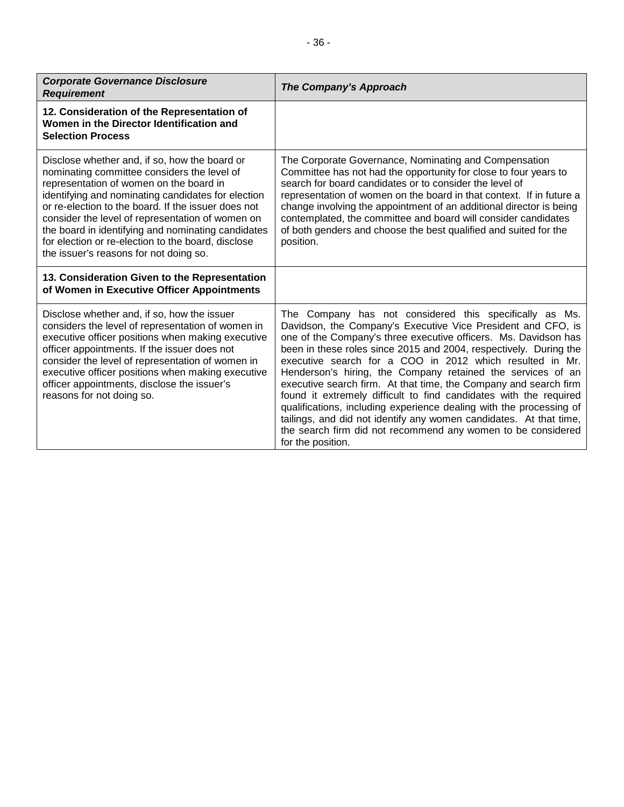| <b>Corporate Governance Disclosure</b><br><b>Requirement</b> | The Company's Approach |
|--------------------------------------------------------------|------------------------|
| 12. Consideration of the Representation of                   |                        |

| Women in the Director Identification and<br><b>Selection Process</b>                                                                                                                                                                                                                                                                                                                                                                                           |                                                                                                                                                                                                                                                                                                                                                                                                                                                                                                                                                                                                                                                                                                                                                                       |
|----------------------------------------------------------------------------------------------------------------------------------------------------------------------------------------------------------------------------------------------------------------------------------------------------------------------------------------------------------------------------------------------------------------------------------------------------------------|-----------------------------------------------------------------------------------------------------------------------------------------------------------------------------------------------------------------------------------------------------------------------------------------------------------------------------------------------------------------------------------------------------------------------------------------------------------------------------------------------------------------------------------------------------------------------------------------------------------------------------------------------------------------------------------------------------------------------------------------------------------------------|
| Disclose whether and, if so, how the board or<br>nominating committee considers the level of<br>representation of women on the board in<br>identifying and nominating candidates for election<br>or re-election to the board. If the issuer does not<br>consider the level of representation of women on<br>the board in identifying and nominating candidates<br>for election or re-election to the board, disclose<br>the issuer's reasons for not doing so. | The Corporate Governance, Nominating and Compensation<br>Committee has not had the opportunity for close to four years to<br>search for board candidates or to consider the level of<br>representation of women on the board in that context. If in future a<br>change involving the appointment of an additional director is being<br>contemplated, the committee and board will consider candidates<br>of both genders and choose the best qualified and suited for the<br>position.                                                                                                                                                                                                                                                                                |
| 13. Consideration Given to the Representation<br>of Women in Executive Officer Appointments                                                                                                                                                                                                                                                                                                                                                                    |                                                                                                                                                                                                                                                                                                                                                                                                                                                                                                                                                                                                                                                                                                                                                                       |
| Disclose whether and, if so, how the issuer<br>considers the level of representation of women in<br>executive officer positions when making executive<br>officer appointments. If the issuer does not<br>consider the level of representation of women in<br>executive officer positions when making executive<br>officer appointments, disclose the issuer's<br>reasons for not doing so.                                                                     | The Company has not considered this specifically as Ms.<br>Davidson, the Company's Executive Vice President and CFO, is<br>one of the Company's three executive officers. Ms. Davidson has<br>been in these roles since 2015 and 2004, respectively. During the<br>executive search for a COO in 2012 which resulted in Mr.<br>Henderson's hiring, the Company retained the services of an<br>executive search firm. At that time, the Company and search firm<br>found it extremely difficult to find candidates with the required<br>qualifications, including experience dealing with the processing of<br>tailings, and did not identify any women candidates. At that time,<br>the search firm did not recommend any women to be considered<br>for the position. |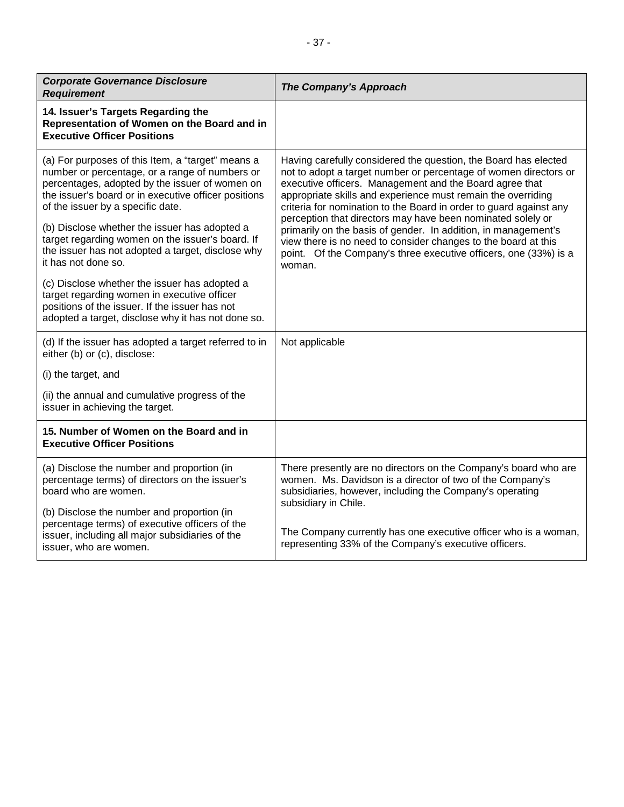| <b>Corporate Governance Disclosure</b><br><b>Requirement</b>                                                                                                                                                                                                                                                                                                                                                                        | <b>The Company's Approach</b>                                                                                                                                                                                                                                                                                                                                                                                                                                                                                                                                                                                         |
|-------------------------------------------------------------------------------------------------------------------------------------------------------------------------------------------------------------------------------------------------------------------------------------------------------------------------------------------------------------------------------------------------------------------------------------|-----------------------------------------------------------------------------------------------------------------------------------------------------------------------------------------------------------------------------------------------------------------------------------------------------------------------------------------------------------------------------------------------------------------------------------------------------------------------------------------------------------------------------------------------------------------------------------------------------------------------|
| 14. Issuer's Targets Regarding the<br>Representation of Women on the Board and in<br><b>Executive Officer Positions</b>                                                                                                                                                                                                                                                                                                             |                                                                                                                                                                                                                                                                                                                                                                                                                                                                                                                                                                                                                       |
| (a) For purposes of this Item, a "target" means a<br>number or percentage, or a range of numbers or<br>percentages, adopted by the issuer of women on<br>the issuer's board or in executive officer positions<br>of the issuer by a specific date.<br>(b) Disclose whether the issuer has adopted a<br>target regarding women on the issuer's board. If<br>the issuer has not adopted a target, disclose why<br>it has not done so. | Having carefully considered the question, the Board has elected<br>not to adopt a target number or percentage of women directors or<br>executive officers. Management and the Board agree that<br>appropriate skills and experience must remain the overriding<br>criteria for nomination to the Board in order to guard against any<br>perception that directors may have been nominated solely or<br>primarily on the basis of gender. In addition, in management's<br>view there is no need to consider changes to the board at this<br>point. Of the Company's three executive officers, one (33%) is a<br>woman. |
| (c) Disclose whether the issuer has adopted a<br>target regarding women in executive officer<br>positions of the issuer. If the issuer has not<br>adopted a target, disclose why it has not done so.                                                                                                                                                                                                                                |                                                                                                                                                                                                                                                                                                                                                                                                                                                                                                                                                                                                                       |
| (d) If the issuer has adopted a target referred to in<br>either (b) or (c), disclose:                                                                                                                                                                                                                                                                                                                                               | Not applicable                                                                                                                                                                                                                                                                                                                                                                                                                                                                                                                                                                                                        |
| (i) the target, and                                                                                                                                                                                                                                                                                                                                                                                                                 |                                                                                                                                                                                                                                                                                                                                                                                                                                                                                                                                                                                                                       |
| (ii) the annual and cumulative progress of the<br>issuer in achieving the target.                                                                                                                                                                                                                                                                                                                                                   |                                                                                                                                                                                                                                                                                                                                                                                                                                                                                                                                                                                                                       |
| 15. Number of Women on the Board and in<br><b>Executive Officer Positions</b>                                                                                                                                                                                                                                                                                                                                                       |                                                                                                                                                                                                                                                                                                                                                                                                                                                                                                                                                                                                                       |
| (a) Disclose the number and proportion (in<br>percentage terms) of directors on the issuer's<br>board who are women.                                                                                                                                                                                                                                                                                                                | There presently are no directors on the Company's board who are<br>women. Ms. Davidson is a director of two of the Company's<br>subsidiaries, however, including the Company's operating<br>subsidiary in Chile.                                                                                                                                                                                                                                                                                                                                                                                                      |
| (b) Disclose the number and proportion (in<br>percentage terms) of executive officers of the<br>issuer, including all major subsidiaries of the<br>issuer, who are women.                                                                                                                                                                                                                                                           | The Company currently has one executive officer who is a woman,<br>representing 33% of the Company's executive officers.                                                                                                                                                                                                                                                                                                                                                                                                                                                                                              |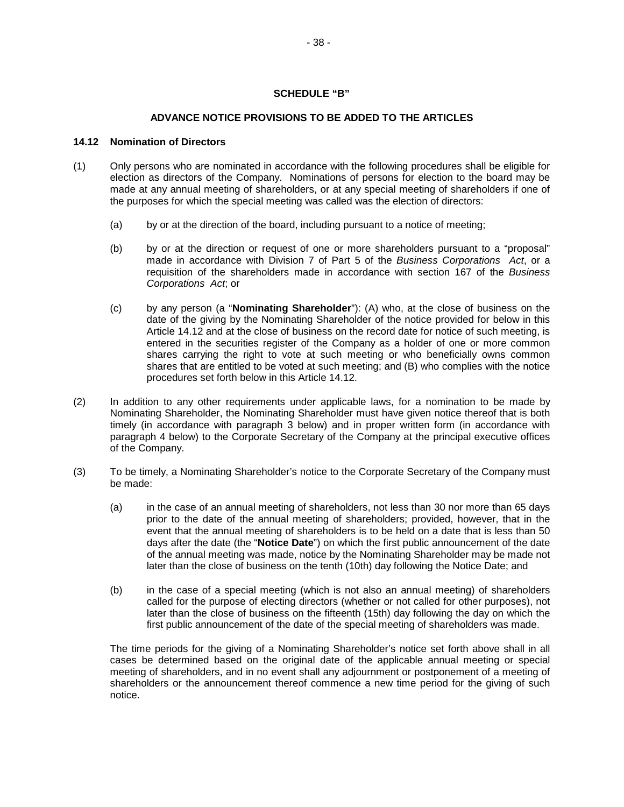## **SCHEDULE "B"**

## **ADVANCE NOTICE PROVISIONS TO BE ADDED TO THE ARTICLES**

#### **14.12 Nomination of Directors**

- (1) Only persons who are nominated in accordance with the following procedures shall be eligible for election as directors of the Company. Nominations of persons for election to the board may be made at any annual meeting of shareholders, or at any special meeting of shareholders if one of the purposes for which the special meeting was called was the election of directors:
	- (a) by or at the direction of the board, including pursuant to a notice of meeting;
	- (b) by or at the direction or request of one or more shareholders pursuant to a "proposal" made in accordance with Division 7 of Part 5 of the *Business Corporations Act*, or a requisition of the shareholders made in accordance with section 167 of the *Business Corporations Act*; or
	- (c) by any person (a "**Nominating Shareholder**"): (A) who, at the close of business on the date of the giving by the Nominating Shareholder of the notice provided for below in this Article 14.12 and at the close of business on the record date for notice of such meeting, is entered in the securities register of the Company as a holder of one or more common shares carrying the right to vote at such meeting or who beneficially owns common shares that are entitled to be voted at such meeting; and (B) who complies with the notice procedures set forth below in this Article 14.12.
- (2) In addition to any other requirements under applicable laws, for a nomination to be made by Nominating Shareholder, the Nominating Shareholder must have given notice thereof that is both timely (in accordance with paragraph 3 below) and in proper written form (in accordance with paragraph 4 below) to the Corporate Secretary of the Company at the principal executive offices of the Company.
- (3) To be timely, a Nominating Shareholder's notice to the Corporate Secretary of the Company must be made:
	- (a) in the case of an annual meeting of shareholders, not less than 30 nor more than 65 days prior to the date of the annual meeting of shareholders; provided, however, that in the event that the annual meeting of shareholders is to be held on a date that is less than 50 days after the date (the "**Notice Date**") on which the first public announcement of the date of the annual meeting was made, notice by the Nominating Shareholder may be made not later than the close of business on the tenth (10th) day following the Notice Date; and
	- (b) in the case of a special meeting (which is not also an annual meeting) of shareholders called for the purpose of electing directors (whether or not called for other purposes), not later than the close of business on the fifteenth (15th) day following the day on which the first public announcement of the date of the special meeting of shareholders was made.

The time periods for the giving of a Nominating Shareholder's notice set forth above shall in all cases be determined based on the original date of the applicable annual meeting or special meeting of shareholders, and in no event shall any adjournment or postponement of a meeting of shareholders or the announcement thereof commence a new time period for the giving of such notice.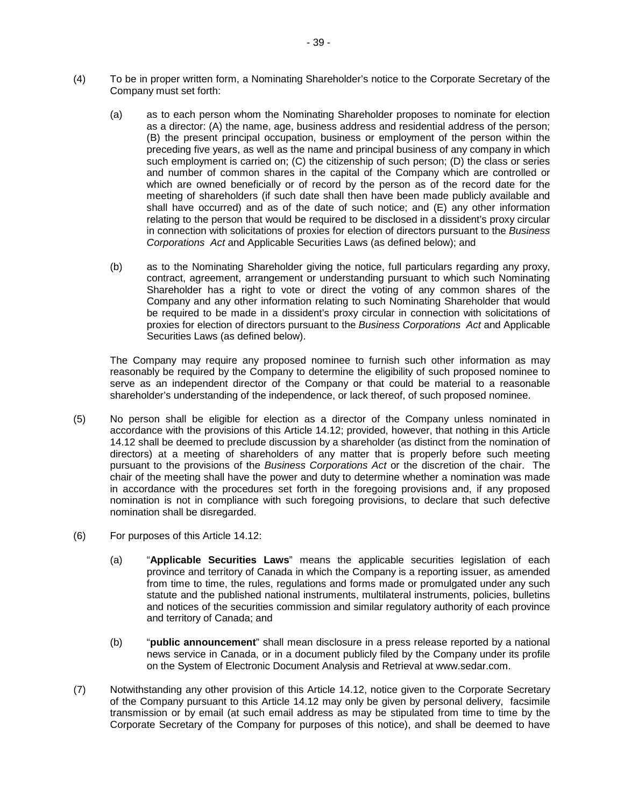- (4) To be in proper written form, a Nominating Shareholder's notice to the Corporate Secretary of the Company must set forth:
	- (a) as to each person whom the Nominating Shareholder proposes to nominate for election as a director: (A) the name, age, business address and residential address of the person; (B) the present principal occupation, business or employment of the person within the preceding five years, as well as the name and principal business of any company in which such employment is carried on; (C) the citizenship of such person; (D) the class or series and number of common shares in the capital of the Company which are controlled or which are owned beneficially or of record by the person as of the record date for the meeting of shareholders (if such date shall then have been made publicly available and shall have occurred) and as of the date of such notice; and (E) any other information relating to the person that would be required to be disclosed in a dissident's proxy circular in connection with solicitations of proxies for election of directors pursuant to the *Business Corporations Act* and Applicable Securities Laws (as defined below); and
	- (b) as to the Nominating Shareholder giving the notice, full particulars regarding any proxy, contract, agreement, arrangement or understanding pursuant to which such Nominating Shareholder has a right to vote or direct the voting of any common shares of the Company and any other information relating to such Nominating Shareholder that would be required to be made in a dissident's proxy circular in connection with solicitations of proxies for election of directors pursuant to the *Business Corporations Act* and Applicable Securities Laws (as defined below).

The Company may require any proposed nominee to furnish such other information as may reasonably be required by the Company to determine the eligibility of such proposed nominee to serve as an independent director of the Company or that could be material to a reasonable shareholder's understanding of the independence, or lack thereof, of such proposed nominee.

- (5) No person shall be eligible for election as a director of the Company unless nominated in accordance with the provisions of this Article 14.12; provided, however, that nothing in this Article 14.12 shall be deemed to preclude discussion by a shareholder (as distinct from the nomination of directors) at a meeting of shareholders of any matter that is properly before such meeting pursuant to the provisions of the *Business Corporations Act* or the discretion of the chair. The chair of the meeting shall have the power and duty to determine whether a nomination was made in accordance with the procedures set forth in the foregoing provisions and, if any proposed nomination is not in compliance with such foregoing provisions, to declare that such defective nomination shall be disregarded.
- (6) For purposes of this Article 14.12:
	- (a) "**Applicable Securities Laws**" means the applicable securities legislation of each province and territory of Canada in which the Company is a reporting issuer, as amended from time to time, the rules, regulations and forms made or promulgated under any such statute and the published national instruments, multilateral instruments, policies, bulletins and notices of the securities commission and similar regulatory authority of each province and territory of Canada; and
	- (b) "**public announcement**" shall mean disclosure in a press release reported by a national news service in Canada, or in a document publicly filed by the Company under its profile on the System of Electronic Document Analysis and Retrieval at www.sedar.com.
- (7) Notwithstanding any other provision of this Article 14.12, notice given to the Corporate Secretary of the Company pursuant to this Article 14.12 may only be given by personal delivery, facsimile transmission or by email (at such email address as may be stipulated from time to time by the Corporate Secretary of the Company for purposes of this notice), and shall be deemed to have